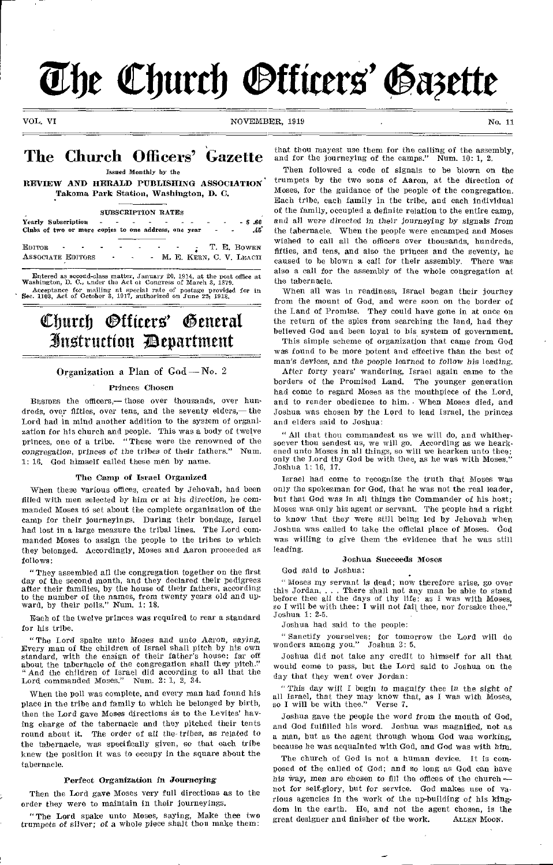# The Church *Officers' Gazette*

VOL. VI NOVEMBER, 1919 NOVEMBER 1919 No. 11

## The Church Officers' Gazette

**Issued Monthly by the** 

REVIEW AND HERALD PUBLISHING ASSOCIATION Takoma Park Station, Washington, D. C.

#### **SUBSCRIPTION RATES**

**Yearly Subscription - \$ .60**  Clubs of two or more copies to one address, one year

EDITOR T. E. BOWEN<br>
ASSOCIATE EDITORS M. E. KERN, C. V. LEACH ASSOCIATE EDITORS AND M. E. KERN, C. V. LEACH

Entered as second-class matter, January 20, 1914, at the post office at Washington, D. C., under the Act of Congress of March 3, 1879. Acceptance for mailing at special rate of postage provided for in Sec. 1103, Act of October 3, 1917, authorized on June 22, 1918.

## Church Officers' Seneral instruction ;Department

#### Organization a Plan of God — No. 2

#### Princes Chosen

BESIDES the officers,— those over thousands, over hundreds, over fifties, over tens, and the seventy elders,— the Lord had in mind another addition to the system of organization for his church and people. This was a body of twelve princes, one of a tribe, "These were the renowned of the *congregation, princes of* the tribes of their fathers." Num. 1: 16, God himself called these men by name.

#### The Camp of Israel Organized

When these various offices, created by Jehovah, had been filled with men selected by him or at his *direction, he* commanded Moses td set about the complete organization of the camp for their journeyings. During their bondage, Israel had lost in a large measure the tribal lines. The Lord commanded Moses to assign the people to the tribes to which they belonged. Accordingly, Moses and Aaron proceeded as follows:

"They assembled all the congregation together on the first day of the second month, and they declared their pedigrees after their families, by the house of their fathers, according to the number of the names, from twenty years old and upward, by their polls." Num. 1: 18.

Each of the twelve princes was required to rear a standard for his tribe.

"The Lord spake unto Moses and unto Aaron, *saying,*  Every man of the children of Israel shall pitch by his own standard, with the ensign of their father's house: far off about the tabernacle of the congregation shall they pitch."<br>"  $\Delta n d$  the children of  $\Gamma$ -mail  $\Gamma$ "And the children of Israel did according to all that the Lord commanded Moses." Num. 2: 1, 2, 34.

When the poll was complete, and every man had found his place in the tribe and family to which he belonged by birth, then the Lord gave Moses directions as to the Levites' having charge of the tabernacle and they pitched their tents round about it. The order of all the- tribes, as related to the tabernacle, was specifically given, so that each tribe knew the position it was to occupy in the square about the tabernacle.

#### Perfect Organization in Journeying

Then the Lord gave Moses very full directions as to the order they were to maintain in their journeyings.

"The Lord spake unto Moses, saying, Make thee two trumpets of silver; *of* a whole piece shalt thou make them:

that thou mayest use them for the calling of the assembly, and for the journeying of the camps." Num. 10: 1, 2.

Then followed a code of signals to be blown on the trumpets by the two sons of Aaron, at the direction of Moses, for the guidance of the people of the congregation. Each tribe, each family in the tribe, and each individual of the family, occupied a definite relation to the entire camp, and all were *directed* in their *journeying* by signals from the tabernacle. When the people were encamped and Moses wished to call all the officers over thousands, hundreds, fifties, and tens, and also the princes and the seventy, he caused to be blown a call for their assembly. There was also a call for the assembly of the whole congregation at the tabernacle.

When all was in readiness, Israel began their journey from the mount of God, and were soon on the border of the Land of Promise. They could have gone in at once on the return of the spies from searching the land, had they believed God and been loyal to his system of government.

This simple scheme of organization that came from God was found to be more potent and effective than the best of man's devices, and the people learned *to follow his* leading.

After forty years' wandering, Israel again came to the borders of the Promised Land. The younger generation had come to regard Moses as the mouthpiece of the Lord, and to render obedience to him. When Moses died, and Joshua was chosen by the L9rd to lead Israel, the princes and elders said to Joshua:

"All that thou commandest us we will do, and whithersoever thou sendest us, we will go. According as we heark-ened unto Moses in all things, so will we hearken unto thee: only the Lord thy God be with thee, as he was with Moses." Joshua 1: 16, 17.

Israel had come to recognize the truth that Moses was only the spokesman for God, that he was not the real leader, but that God was in all things the Commander of his host; Moses was only his agent or servant. The people had a right to know that they were still being led by Jehovah when Joshua was called to take the official place of Moses. God was willing to give them the evidence that he was still leading.

#### Joshua Succeeds Moses

God said to Joshua:

"Moses my servant is dead; now therefore arise, go over this Jordan. . . . There shall not any man be able to stand before thee all the days of thy life: as I was with Moses, so I will be with thee: I will not fail thee, nor forsake thee." Joshua 1: 2-5.

Joshua had said to the people:

" Sanctify yourselves: for tomorrow the Lord will do wonders among you." Joshua 3: 5.

Joshua did not take any credit to himself for all that would come to pass, but the Lord said to Joshua on the day that they went over Jordan:

This day will I begin to magnify thee in the sight of all Israel, that they may know that, as I was with Moses, so I will be with thee." Verse 7.

Joshua gave the people the word from the mouth of God, and God fulfilled his word. Joshua was magnified, not as a man, but as the agent through whom God was working, because he was acquainted with God, and God was with him.

The church of God is not a human device. It is composed of the called of God; and so long as God can have his way, men are chosen to fill the offices of the church not for self-glory, but for service. God makes use of various agencies in the work of the up-building of his kingdom in the earth. He, and not the agent chosen, is the great designer and finisher of the work. ALLEN Moon. great designer and finisher of the work.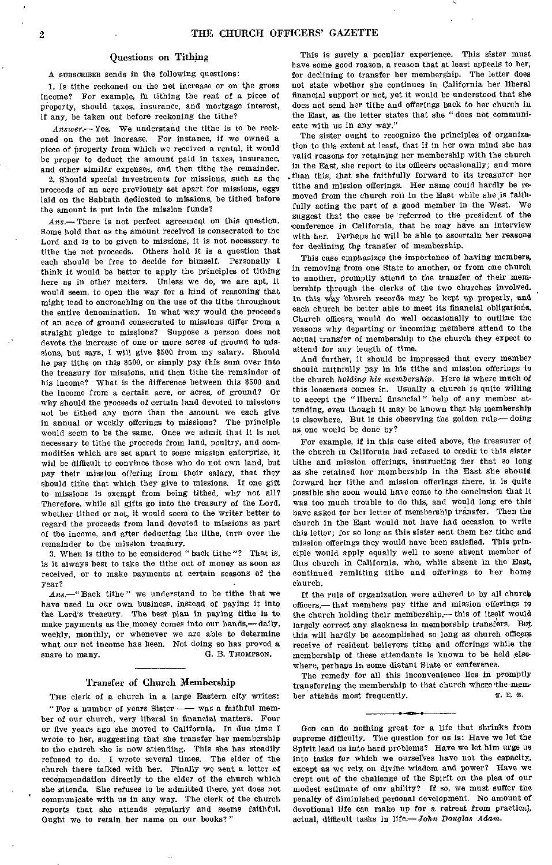#### Questions on Tithing

A SUBSCRIBER sends in the following questions:

1. Is tithe reckoned on the net increase or on the gross income? For example, ih tithing the rent of a piece of property, should taxes, insurance, and mortgage interest, if any, be taken out before reckoning the tithe?

Answer.— Yes. We understand the tithe is to be reckoned on the net increase. For instance, if we owned a piece of property from which we received a rental, it would be proper to deduct the amount paid in taxes, insurance, and other similar expenses, and then tithe the remainder.

2. Should special investments for missions, such as the proceeds of an acre previously set apart for missions, eggs laid on the Sabbath dedicated to missions, be tithed before the amount is put into the mission funds?

*Ans.—There* is not perfect agreement on this question. Some hold that as the amount received is consecrated to the Lord and is to be given to missions, it is not necessary to tithe the net proceeds. Others hold it is a question that each should be free to decide for himself. Personally I think it would be better to apply the principles of tithing here as in other matters. Unless we do, we are apt, it would seem, to open the way for a kind of reasoning that might lead to encroaching on the use of the tithe throughout the entire denomination. In what way would the proceeds of an acre of ground consecrated to missions differ from a straight pledge to missions? Suppose a person does not devote the increase of one or more acres of ground to missions, but says, I will give \$500 from my salary. Should he pay tithe on this \$500, or simply pay this aunt over into the treasury for missions, and then tithe the remainder of his income? What is the difference between this \$500 and the income from a certain acre, or acres, of ground? Or why should the proceeds of certain land devoted to missions not be tithed any more than the amount we each give in annual or weekly offerings to missions? The principle would seem to be the same. Once we admit that it is not necessary to tithe the proceeds from land, poultry, and commodities which are set apart to some mission enterprise, it will be difficult to convince those who do not own land, but pay their mission offering from their salary, that they should tithe that which they give to missions. If one gift to missions is exempt from being tithed, why not all? Therefore, while all gifts go into the treasury of the Lord, whether tithed or not, it would seem to the writer better to regard the proceeds from land devoted to missions as part of the income, and after deducting the tithe, turn over the remainder to the mission treasury.

3. When is tithe to be considered "back tithe"? That is, is it always best to take the tithe out of money as soon as received, or to make payments at certain seasons of the year?

*Ans.—"* Back tithe" we understand to be tithe that we have used in our own business, instead of paying it into the Lord's treasury. The best plan in paying tithe is to make payments as the money comes into our hands,— daily, weekly, monthly, or whenever we are able to determine what our net income has been. Not doing so has proved a snare to many. G. B. THOMPSON.

#### Transfer of Church Membership

THE clerk of a church in a large Eastern city writes: "For a number of years Sister — was a faithful member of our church, very liberal in financial matters. Four or five years ago she moved to California. In due time I wrote to her, suggesting that she transfer her membership to the church she is now attending. This she has steadily refused to do. I wrote several times. The elder of the church there talked with her. Finally we sent a letter of recommendation directly to the elder of the church which she attends. She refuses to be admitted there, yet does not communicate with us in any way. The clerk of the church reports that she attends regularly and seems faithful. Ought we to retain her name on our books?"

This is surely a peculiar experience. This sister must have some good reason, a reason that at least appeals to her, for declining to transfer her membership. The letter does not state whether she continues in California her liberal financial support or not, yet it would be understood that she does not send her tithe and offerings back to her church in the East, as the letter states that she " does not communicate with us in any way."

The sister ought to recognize the principles of organization to this extent at least, that if in her own mind she has valid reasons for retaining her membership with the church in the East, she report to its officers occasionally; and more .than this, that she faithfully forward to its treasurer her tithe and mission offerings. Her name could hardly be removed from the church roll in the East while she is faithfully acting the part of a good member in the West. We suggest that the case be 'referred to the president of the •conference in California, that he may have an interview with her. Perhaps he will be able to ascertain her reasons for declining the transfer of membership.

This case emphasizes the importance of having members, in removing from one State to another, or from one church to another, promptly attend to the transfer of their membership through the clerks of the two churches involved. In this way 'church records may be kept up properly, and each church be better able to meet its financial obligations. Church officers, would do well occasionally to outline the reasons why departing or incoming members attend to the actual transfer of membership to the church they expect to attend for any length of time.

And further, it should be impressed that every member should faithfully pay in his tithe and mission offerings to the church *holding his membership.* Here is where much of this looseness comes in. Usually a church is quite willing to accept the "liberal financial" help of any member attending, even though it may be known that his membership is elsewhere. But is this observing the golden rule— doing as one would be done by?

For example, if in this case cited above, the treasurer of the church in California had refused to credit to this sister tithe and mission offerings, instructing her that so long as she retained her membership in the East she should forward her tithe and mission offerings there, it is quite possible she soon would have come to the conclusion that it was too much trouble to do this, and would long ere this have asked for her letter of membership transfer. Then the church in the East would not have had occasion to write this letter; for so long as this sister sent them her tithe and mission offerings they would have been satisfied. This principle would apply equally well to some absent member of this church in California, who, while absent in the East, continued remitting tithe and offerings to her home church.

If the rule of organization were adhered to by all church officers,— that members pay tithe and mission offerings to the church holding their membership,— this of itself would largely correct any slackness in membership transfers. But this will hardly be accomplished so long as church officers receive of resident believers tithe and offerings while the membership of these attendants is known to be held elsewhere, perhaps in some distant State or conference.

The remedy for all this inconvenience lies in promptly transferring the membership to that church where 'the mem-T. E. B. ber attends most frequently.

GOD can do nothing great for a life that shrinks from supreme difficulty. The question for us is: Have we let the Spirit lead us into hard problems? Have we let him urge us into tasks for which we ourselves have not the capacity, except as we rely on divine wisdom and power? Have we crept out of the challenge of the Spirit on the plea of our modest estimate of our ability? If so, we must suffer the penalty of diminished personal development. No amount of devotional life can make up for a retreat from practical, actual, difficult tasks in *life.—John Douglas Adam.*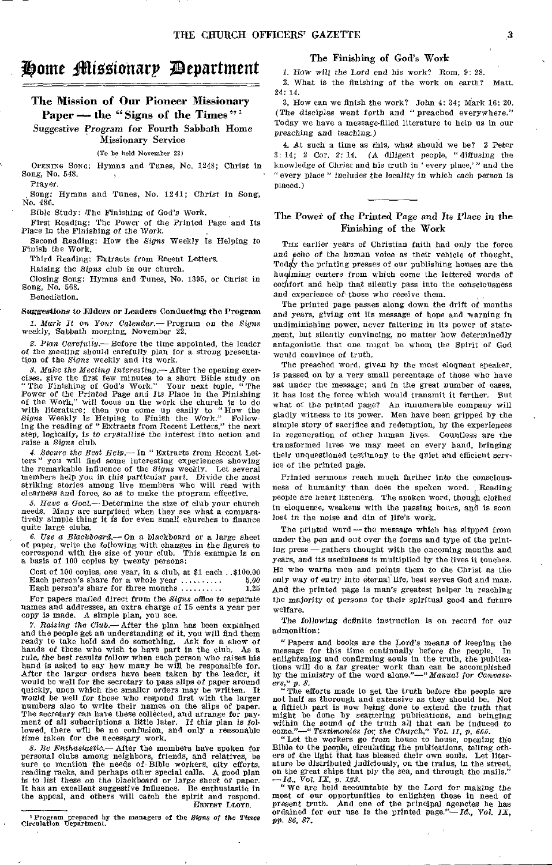## Some tHifiEgionarp ;Department

#### The Mission of Our Pioneer Missionary Paper — the "Signs of the Times"<sup>1</sup>

Suggestive Program for Fourth Sabbath Home Missionary Service

(To be held November 22)

OPENING SONG: Hymns and Tunes, No. 1248; Christ in Song, No. 548. Prayer.

Song: Hymns and Tunes, No. 1241; Christ in Song, No. 486.

Bible Study: (The Finishing of God's Work.

First Reading: The Power of the Printed Page and Its Place in the *Finishing of* the Work.

Second Reading: How the *Signs* Weekly Is Helping to Finish the Work.

Third Reading: Extracts from Recent Letters.

Raising the *Signs* club in our church.

Closing Song: Hymns and Tunes, No. 1395, or Christ in Song, No. 668.

Benediction.

#### *Suggestions to* Ehlers or Leaders Conducting the Program

*1. Mark It on Your Calendar.—* Program on the *Signs*  weekly, Sabbath morning, November 22.

2. Plan *Carefully.—* Before the time appointed, the leader of the meeting should carefully plan for a strong presentation of the *Signs* weekly and its work.

*3. Make the Meeting Interesting.—* After the opening exercises, give the first few minutes to a short Bible study on "The Finishing of God's Work." Your next topic, " The Power of the Printed Page and Its Place in the Finishing of the Work," will focus on the work the church is to do with literature; then you come up easily to "How the *Signs* Weekly Is Helping to Finish the Work." Following the reading of "Extracts from Recent Letters," the next step, logically, is to crystallize the interest into action and raise a *Signs* club.

*4. Secure the Best Help.—* In " Extracts from Recent Let-ters " you will find some interesting experiences showing the remarkable influence of the *Signs* weekly. Let several members help you in this particular part. Divide the most striking stories among live members who will read with clearness and force, so as to make the program effective.

*5. Have* a *Goal.—* Determine the size of club your church needs. Many are surprised when they see what a comparatively simple thing it is for even small churches to finance quite large clubs.

*6. Use a Blackboard.—* On a blackboard or a large sheet of paper, write the following with changes in the figures to correspond with the size of your club. This example is on a basis of 100 copies by twenty persons:

Cost of 100 copies, one year, in a club, at \$1 each ..\$100.00 Each person's share for a whole year 5.00 Each person's share for three months  $\dots\dots\dots$ 

For papers mailed direct from the *Signs office to* separate names and addresses, an extra charge of 15 cents a year per copy is made. A simple plan, you see.

*7. Raising the Club.—* After the plan has been explained and the people get an understanding of it, you will find them ready to take hold and do something. Ask for a show of hands of those who wish to have part in the club. As a rule, the best results follow when each person who raises his hand is asked to say how many he will be responsible for. After the larger orders have been taken by the leader, it would be well for the secretary to pass slips of paper around quickly, upon which the smaller orders may be written. It would be well *for* those who respond first with the larger numbers also to write their names on the slips of paper. The secretary can have these collected, and arrange for payment of all subscriptions a little later. If this plan is fol-lowed, there will be no confusion, and only a reasonable time taken for the necessary work,

*8. Re Enthusiastic.—* After the members have spoken for personal clubs among neighbors, friends, and relatives, be sure to mention the needs of-Bible workers, city efforts, reading racks, and perhaps other special calls. A good plan is to list these on the blackboard or large sheet of paper. It has an excellent suggestive influence. Be enthusiastic in the appeal, and others will catch the spirit and respond. ERNEST LLOYD.

#### The Finishing of God's Work

1. How will the Lord end his work? Rom. 9: 28.

2. What is the finishing of the work on earth? Matt. 24: 14.

3. How can we finish the work? John 4: 34; Mark 16: 20. (The disciples went forth and "preached everywhere." Today we have a message-filled literature to help us in our preaching and teaching.)

4. At such a time as this, what should we be? 2 Peter 3: 14; 2 Cor, 2: 14. (A diligent people, *"diffusing* the knowledge of Christ and his truth in ' every place,' " and the "every place" includes the *locality* in which each person is placed.)

#### The Power of the Printed Page and Its Place in the Finishing of the Work

The earlier years of Christian faith had only the force and echo of the human voice as their vehicle of thought. Today the printing presses of our publishing houses are the hun ming centers from which come the lettered words of comfort and help that silently pass into the consciousness and experience of those who receive them.

The printed page passes along down the drift of months and years, giving out its message of hope and warning in undiminishing power, never faltering in its power of statement, but silently convincing, no matter how determinedly antagonistic that one might be whom the Spirit of God would convince of truth.

The preached word, given by the most eloquent speaker, is passed on by a very small percentage of those who have sat under the message; and in the great number of cases, it has lost the force which would transmit it farther. But what of the printed page? An innumerable company will gladly witness to its power. Men have been gripped by the simple story of sacrifice and redemption, by the experiences in regeneration of other human lives. Countless are the transformed lives we may meet on every hand, bringing their unquestioned testimony to the quiet and efficient service of the printed page.

Printed sermons reach much farther into the consciousness of humanity than does the spoken word. ( Reading people are heart listeners. The spoken word, though clothed in eloquence, weakens with the passing hours, and is soon lost in the noise and din of life's work.

The printed word—the message which has slipped from under the pen and out over the forms and type of the printing press — gathers thought with the oncoming months and *years, and* its usefulness is 'multiplied by the lives it touches. He who warns men and points them to the Christ as the only way of entry into eternal life, best serves God and man. And the printed page is man's greatest helper in reaching the majority of persons for their spiritual good and future welfare.

The *following* definite instruction is on record for our admonition:

"Papers and books are the Lord's means of keeping the message for this time continually before the people. In enlightening and confirming souls in the truth, the publica-tions will do a far greater work than can be accomplished by the ministry of the word alone."—"Manual *for Canvassen," p. 8.* 

" The efforts made to get the truth before the people are not half as thorough and extensive as they should be. Not a fiftieth part is now being done to extend the truth that might be done by scattering publications, and bringing<br>within the sound of the truth all that can be induced to<br>come."—"Testimonies for the Church," Vol. II, p. 655.<br>"Let the workers go from house to house, opening the<br>Bi

ers of the light that has blessed their own souls. Let literature be distributed judiciously, on the trains, in the street, on the great ships that ply the sea, and through the mails."

 $-Id$ ,  $\bar{V}$ *ol. IX,*  $\hat{p}$ *. 123.*  $\qquad \qquad$  **We are held accountable by the Lord for making the** most of our opportunities to enlighten those in need of present truth. And one of the principal agencies he has ordained for our use is the printed page."— /d., *Vol. IX,*  pp. *86, 87.* 

Program prepared by the managers of the *Signs of the Times*  Circulation Department.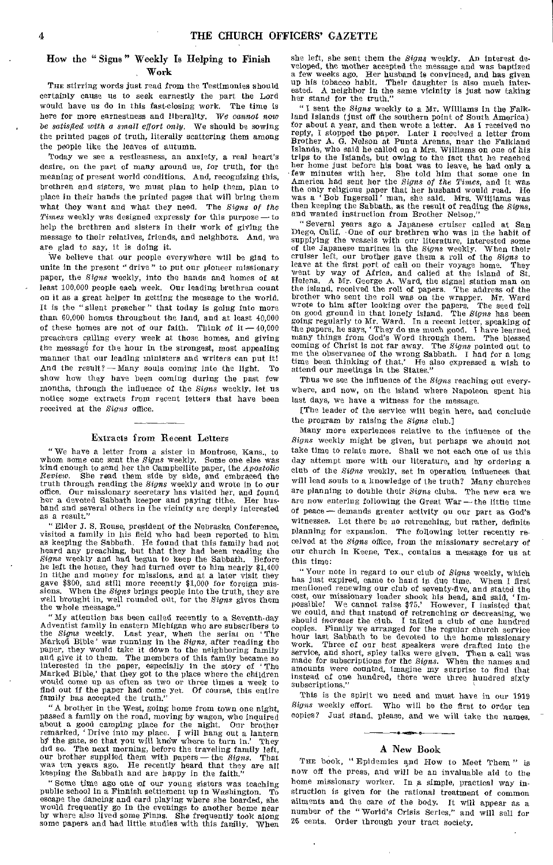#### How the " Signs " Weekly Is Helping to Finish Work

THE stirring words just read from the Testimonies should certainly cause us to seek earnestly the part the Lord would have us do in this fast-closing work. The time is here for more earnestness and liberality. We *cannot now be satisfied with a small effort only.* We should be sowing the printed pages of truth, literally scattering them among the people like the leaves of autumn.

Today we see a restlessness, an anxiety, a real heart's desire, on the part of many around us, for truth, for the meaning of present world conditions. And, recognizing this, brethren and sisters, we must plan to help them, plan to place in their hands the printed pages that will bring them what they want and what they need. The *Signs of the Times* weekly was designed expressly for this purpose—to help the brethren and sisters in their work of giving the message to their relatives, friends, and neighbors. And, we are glad to say, it is doing it.

We believe that our people everywhere will be glad to unite in the present " drive " to put our pioneer missionary paper, the *Signs* weekly, into the hands and homes of at least 100,000 people each week. Our leading brethren count on it as a great helper in getting the message to the world. It is the " silent preacher " that today is going into more than 60,000 homes throughout the land, and at least 40,000 of these homes are not of our faith. Think of it  $-40,000$ preachers calling every week at those homes, and giving the message for the hour in the strongest, most appealing manner that our leading ministers and writers can put it!<br>And the result? -- Many souls coming into the light. To And the result?  $-Many$  souls coming into the light. show how they have been coming during the past few months, through the influence of the *Signs* weekly, let us notice some extracts from recent letters that have been received at the *Signs* office.

#### Extracts from Recent Letters

" We have a letter from a sister in Montrose, Kans., to whom some one sent the *Signs* weekly. Some one else was kind enough to send her the Campbellite paper, the *Apostolic Review.* She read them side by side, and embraced the truth through reading the *Signs* weekly and wrote in to our office. Our missionary secretary has visited her, and found her a devoted Sabbath keeper and paying tithe. Her husband and several others in the vicinity are deeply interested as a result."

" Elder J. S. Rouse, president of the Nebraska Conference, visited a family in his field who had been reported to him as keeping the Sabbath. He found that this family had not heard any preaching, but that they had been reading the *Signs* weekly and had begun to keep the Sabbath. Before he left the house, they had turned over to him nearly \$1,400 in tithe and money for missions, and at a later visit they gave \$800, and still more recently \$1,000 for foreign mis-sions. When the *Signs* brings people into the truth, they are well brought in, well rounded out, for the *Signs* gives them the whole message."

"My attention has been called recently to a Seventh-day Adventist family in eastern Michigan who are subscribers to the *Signs* weekly. Last year, when the serial on ' The Marked Bible' was running in the *Signs,* after reading the paper, they would take it down to the neighboring family and give it to them. The members of this family became so interested in the paper, especially in the story of ' The Marked Bible,' that they got to the place where the children would come up as often as two or three times a week to find out if the paper had come yet. Of course, this entire family has accepted the truth."

"A brother in the West, going home from town one night, passed a family on the road, moving by wagon, who inquired about a good camping place for the night. Our brother remarked, 'Drive into my place. I will hang out a lantern by the gate, so that you will know where to turn in.' They did so. The next morning, before the traveling family left, our brother supplied them with papers — the *Signs.* That was ten years ago. He recently heard that they are all keeping the Sabbath and are happy in the faith."

"Some time ago one of our young sisters was teaching public school in a Finnish settlement up in Washington. To escape the dancing and card playing where she hoarded, she would frequently go in the evenings to another home near by where also lived some Finns. She frequently took along some papers and had little studies with this fanfily. When she left, she sent them the *Signs* weekly. An interest developed, the mother accepted the message and was baptized a few weeks ago. Her husband is convinced, and has given up his tobacco habit. Their daughter is also much interested. A neighbor in the same vicinity is just now taking her stand for the truth."

" I sent the *Signs* weekly to a Mr. Williams in the Falk-land Islands (just off the southern point of South America) for about a year, and then wrote a letter. As I received no reply, I stopped the paper. Later I received a letter from Brother A. G. Nelson at Punta Arenas, near the Falkland Islands, who said he called on a Mrs. Williams on one of his trips to the Islands, but owing to the fact that he reached her home just before his boat was to leave, he had only a few minutes with her. She told him that some one in America had sent her the *Signs of the Times,* and it was the only religious paper that her husband would read. He was a 'Bob Ingersoll' man, she said. Mrs. Williams was then keeping the Sabbath, as the result of reading the *Signs,*  and wanted instruction from Brother Nelson."

" Several years ago a Japanese cruiser called at San Diego, Calif. -One of our brethren who was in the habit of supplying the vessels with our literature, interested some of the Japanese marines in the *Signs* weekly. When their cruiser left, our brother gave them a roll of the *Signs* to leave at the first port of call on their voyage home. They went by way of Africa, and called at the island of St. Helena. A Mr. George A. Ward, the signal station man on the island, received the roll of papers. The address of the brother who sent the roll was on the wrapper. Mr. Ward wrote to him after looking over the papers. The seed fell on good ground in that lonely island. The *Signs* has been going regularly to Mr. Ward. In a recent letter, speaking of the papers, he says, 'They do me much good. coming of Christ is not far away. The *Signs* pointed out to me the observance of the wrong Sabbath. I had for a long time been thinking of that.' He also expressed a wish to time been thinking of that.' He also expressed a wish to attend our meetings in the States."

Thus we see the influence of the *Signs* reaching out everywhere, and now, on the island where Napoleon spent his last days, we have a witness for the message.

[The leader of the service will begin here, and conclude the program by raising the *Signs* club.]

Many more experiences relative to the influence of the *Signs* weekly might be given, but perhaps we should not take time to relate more. Shall we not each one of us this day attempt more with our literature, and by ordering a club of the *Signs* weekly, set in operation influences that will lead souls to a knowledge of the truth? Many churches are planning to double their *Signs* clubs. The new era we are now entering following the Great War—the little time of peace—demands greater activity on our part as God's witnesses. Let there be no retrenching, but rather, definite planning for expansion. The following letter recently received at the *Signs* office, from the missionary secretary of our church in Keene, Tex., contains a message for us at this time:

" Your note in regard to our club of *Signs* weekly, which has just expired, came to hand in due time. When I first mentioned renewing our club of seventy-five, and stated the cost, our missionary leader shook his head, and said, 'Impossible! We cannot raise \$75.' However, I insisted that we could, and that instead of retrenching or decreasing, we should *increase* the club. I talked a club of o copies. Finally we arranged for the regular church service hour last Sabbath to be devoted to the home missionary work. Three of our best speakers were drafted into the service, and short, spicy talks were given. Then a call was made for subscriptions for the *Signs*. When the names and amounts were counted, imagine my surprise to find that instead of one hundred, there were three hundred sixty subscriptions."

This is the spirit we need and must have in our 1919 *Signs* weekly effort. Who will be the first to order ten copies? Just stand, please, and we will take the names.

#### A New Book

THE book, "Epidemics and How to Meet Them" is now off the press, and will be an invaluable aid to the home missionary worker. In *A* simple, practical way instruction is given for the rational treatment of common ailments and the care of the body. It will appear as a number of the " World's Crisis Series," and will sell for 25 cents. Order through your tract society.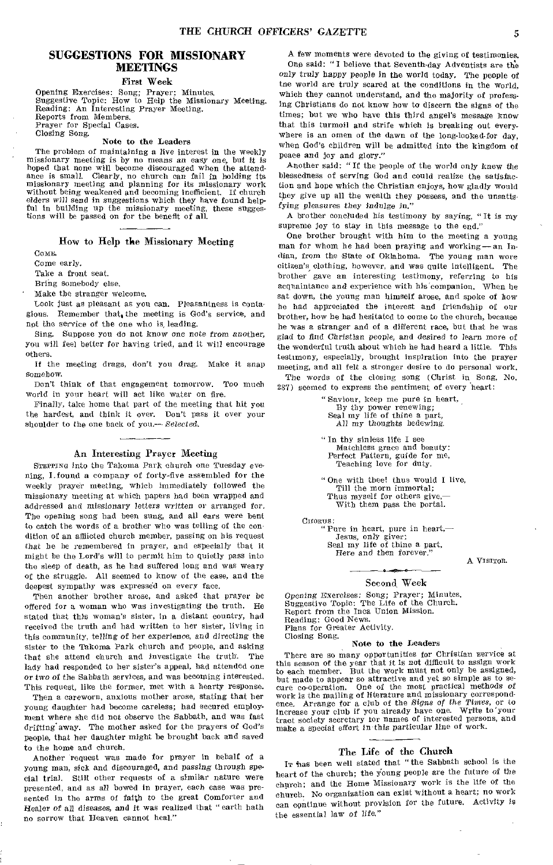#### SUGGESTIONS FOR MISSIONARY MEETINGS

First Week

Opening Exercises: Song; Prayer; Minutes. Suggestive Topic: How to Help the Missionary Meeting. Reading: An Interesting Prayer Meeting. Reports from Members. Prayer for Special Cases. Closing Song.

#### Note to the Leaders

The problem of maintaining a live interest in the weekly missionary meeting is by no means an easy one, but it is hoped that none will become discouraged when the attendance is small. Clearly, no church can fail in holding its missionary meeting and planning for its missionary work without being weakened and becoming inefficient. If church elders will send in suggestions which they have found help-ful in building up the missionary meeting, these suggestions will be passed on for the benefit of all.

#### How to Help the Missionary Meeting

Come.

Come early.

Take a front seat.

Bring somebody else.

Make the stranger welcome.

Look just as pleasant as you can. Pleasantness is contagious. Remember that, the meeting is God's service, and not the service of the one who is, leading.

Sing. Suppose you do not know one note *from* another, you will feel better for having tried, and it will encourage others.

If the meeting drags, don't you drag. Make it snap somehow.

Don't think of that engagement tomorrow. Too much world in your heart will act like water on fire.

Finally, take home that part of the meeting that hit you the hardest, and think it over. Don't pass it over your shoulder to the one back of you.-- *Selected.* 

#### An Interesting Prayer Meeting

STEPPING into the Takoma Park church one Tuesday *evening,* I.found a company of forty-five assembled for the weekly Prayer meeting, which immediately followed the missionary meeting at which papers had been wrapped and addressed and missionary letters written or arranged for. The opening song had been sung, and all ears were bent to catch the words of a brother who was telling of the condition of an afflicted church member, passing on his request that he be remembered in prayer, and especially that it might be the Lord's will to permit him to quietly pass into the sleep of death, as he had suffered long and was weary of the struggle. All seemed to know of the case, and the deepest sympathy was expressed on every face.

Then another brother arose, and asked that prayer be offered for a woman who was investigating the truth. He stated that this woman's sister, in a distant country, had received the truth and had written to her sister, living in this community, telling of her experience, and directing the sister to the Takoma Park church and people, and asking that she attend church and investigate the truth. The lady had responded to her sister's appeal, had attended one or two *of* the Sabbath services, and was becoming interested. This request, like the former, met with a hearty response.

Then a careworn, anxious mother arose, stating that her Young daughter had become careless; had secured employment where she did not observe the Sabbath, and was fast drifting away. The mother asked for the prayers of God's People, that her daughter might be brought back and saved to the home and church.

Another request was made for prayer in behalf of a young man, sick and discouraged, and *passing* through special trial. Still other requests of a similar nature were presented, and as all bowed in prayer, each case was presented in the arms of faith to the great Comforter and Healer *of* all diseases, and it was realized that "earth bath no sorrow that Heaven cannot heal."

A few moments were devoted to the giving of testimonies. One said: " I believe that Seventh-day Adventists are the only truly happy people in the world today. The people of tne world are truly scared at the conditions in the world, which they cannot understand, and the majority of profess. ing Christians do not know how to discern the signs of the times; but we who have this third angel's message know that this turmoil and strife which is breaking out everywhere is an omen of the dawn of the long-looked-for day, when God's children will be admitted into the kingdom of peace and joy and glory."

Another said: "If the people of the world only knew the blessedness of serving God and could realize the satisfaction and hope which the Christian enjoys, how gladly would they give up all the wealth they possess, and the unsatisfying pleasures they *indulge in."* 

A brother concluded his testimony by saying, "It is my supreme joy to stay in this message to the end."

One brother brought with him to the meeting a young man for whom he had been praying and working—an Indian, from the State of Oklahoma. The young man wore citizen's clothing, however, and was quite intelligent. The brother gave an interesting testimony, referring to his acquaintance and experience with his companion. When he sat down, the young man himself arose, and spoke of how he had appreciated the interest and friendship of our brother, how he had hesitated to come to the church, because he was a stranger and of a different race, but that he was glad to find *Christian* people, and desired to learn more of the wonderful truth about which he had heard a little. This testimony, especially, brought inspiration into the prayer meeting, and all felt a stronger desire to do personal work. The words of the closing song (Christ in Song, No.

287) seemed to express the sentiment of every heart:

" Saviour, keep me pure in heart, By thy power renewing; Seal my life of thine a part, All my thoughts bedewing.

"In thy sinless life I see Matchless grace and beauty: Perfect Pattern, guide for me, Teaching love for duty.

" One with thee! thus would I live, Till the morn immortal; Thus myself for others give With them pass the portal.

CHORUS:<br>"Pure in heart, pure in heart,— Jesus, only giver; Seal my life of thine a part, Here and then forever."

A VISITOR.

#### Second, Week

*Opening* Exercises: Song; Prayer; Minutes. Suggestive Topic: The Life of the Church. Report from the Inca Union Mission. Reading: Good News. Plans for Greater Activity. Closing Song.

#### Note to the Leaders

There are so many opportunities for Christian eervice at this season of the year that it is not difficult to assign work to each member. But the work must not only be assigned, but made to appear so attractive and yet so simple as to secure co-operation. One of the most practical methods of work is the mailing of literature and missionary correspondence. Arrange for a club of the *Signs* of the Times, or to increase your club if you already have one. Wri make a special effort in this particular line of work.

#### The Life of the Church

IT has been well stated that "the Sabbath school is the heart of the church; the Young people are the future of the church; and the Home Missionary work is the life of the church. No organization can exist without a heart; no work can continue without provision for the future. Activity is the essential law *of* life,"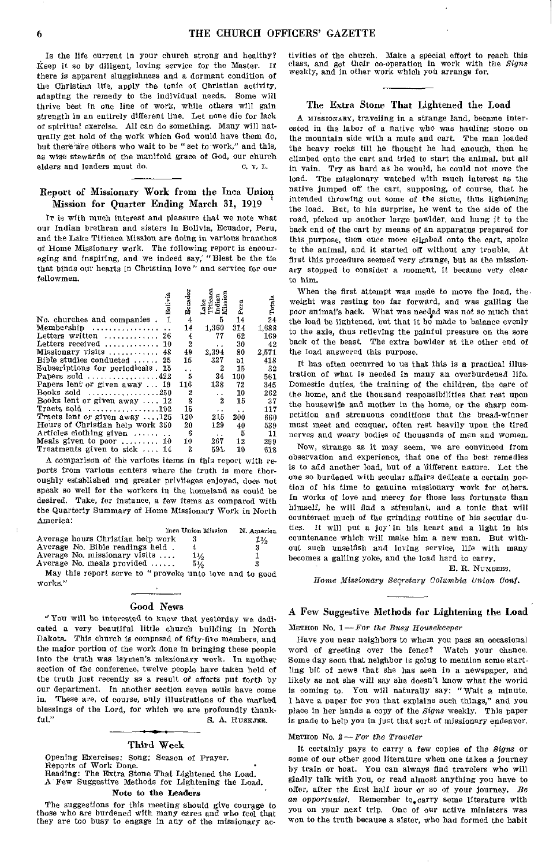Is the life current in your church strong and healthy? Keep it so by diligent, loving service for the Master. If there is apparent sluggishness and a dormant condition of the Christian life, apply the tonic of Christian activity, adapting the remedy to the individual needs. Some will thrive best in one line of work, while others will gain strength in an entirely different line. Let none die for lack of spiritual exercise. All can do something. Many will naturally get hold of the work which God would have them do, but there are others who wait to be "set to work," and this, as wise stewards of the manifold grace of God, our church elders and leaders must do. C. V. L.

#### Report of Missionary Work from the Inca Union Mission for Quarter Ending March 31, 1919

IT is with much interest and pleasure that we note what our Indian brethren and sisters in Bolivia, Ecuador, Peru, and the Lake Titicaca Mission are doing in various branches of Home Missionary work. The following report is encouraging and inspiring, and we indeed say; "Blest be the tie that binds our hearts in Christian love " and service for our fellowmen.

| Bolivia                                             | Ecuado | Lake<br>Titicac:<br>Indian<br>Mission |      |        |
|-----------------------------------------------------|--------|---------------------------------------|------|--------|
|                                                     |        |                                       | Pera | Totals |
| 1<br>No. churches and companies.                    | 4      | 5                                     | 14   | 24     |
| Membership                                          | 14     | 1,360                                 | 314  | 1,688  |
| Letters written  26                                 | 4      | 77                                    | 62   | 169    |
| Letters received<br>-10                             | 2      | $\ddot{\phantom{0}}$                  | 30   | 42     |
| Missionary visits  48                               | 49     | 2,394                                 | 80   | 2,571  |
| Bible studies conducted $\ldots$ 25                 | 15     | 327                                   | b1   | 418    |
| Subscriptions for periodicals. 15                   | ò.     | 2                                     | 15   | 32     |
| Papers sold $\ldots \ldots \ldots \ldots 422$       | 5      | 34                                    | 100  | 561    |
| Papers lent or given away  19                       | 116    | 138                                   | 72   | 345    |
| Books sold $\ldots \ldots \ldots \ldots \ldots 250$ | 2      | . .                                   | 10   | 262    |
| Books lent or given away  12                        | 8      | 2                                     | 15   | 37     |
| Tracts sold $\ldots, \ldots, \ldots, 102$           | 15     | . .                                   | . .  | 117    |
| Tracts lent or given away $\dots$ 125               | 120    | 215                                   | 200  | 660    |
| Hours of Christian help work 350                    | 20     | 129                                   | 40   | 539    |
| Articles clothing given                             | 6      | $\ddot{\phantom{a}}$                  | 5    | 11     |
| Meals given to poor $\dots \dots 10$                | 10     | 267                                   | 12   | 299    |
| Treatments given to sick $\dots$ , 14               | 2      | 591.                                  | 10   | 618    |

A comparison of the various items in this report with reports from various centers where the truth is more thoroughly established and greater privileges enjoyed, does not speak so well for the workers in the homeland as could be desired. Take, for instance, a few items as compared with the Quarterly Summary of Home Missionary Work in North America:

|                                    | Inca Union Mission | N. America |
|------------------------------------|--------------------|------------|
| Average hours Christian help work  |                    | 1½         |
| Average No. Bible readings held.   |                    | з          |
| Average No. missionary visits      | $1\%$              |            |
| Average No. meals provided $\dots$ | $5\frac{1}{2}$     | 3          |
|                                    |                    |            |

May this report serve to " provoke unto love and to good works."

#### Good News

"You will be interested to know that yesterday we dedicated a very beautiful little church building in North Dakota. This church is composed of fifty-five members, and the major portion of the work done in bringing these people into the truth was laymen's missionary work. In another section of the conference, twelve people have taken hold of the truth just recently as a result of efforts put forth by our department. In another section seven souls have come in. These are, of course, only illustrations of the marked blessings of the Lord, for which we are profoundly thank-<br>ful." S. A. RUSKJER. S. A. RUSKJER.

#### Third Week

Opening Exercises: Song; Season of Prayer.<br>Reports of Work Done. Reports of Work Done. Reading: The Extra Stone That Lightened the Load. A Few Suggestive Methods for Lightening the Load.

#### Note to the Leaders

The suggestions for this meeting should give courage to those who are burdened with many cares and who feel that they are too busy to engage in any of the missionary activities of the church. Make a special effort to reach this class, and get their co-operation in work with the *Signs*  weekly, and in other work which you arrange for.

#### The Extra Stone That Lightened the Load

A MISSIONARY, traveling in a strange land, became interested in the labor of a native who was hauling stone on the mountain side with a mule and cart. The man loaded the heavy rocks till he thought he had enough, then he climbed onto the cart and tried to start the animal, but all in vain. Try as hard as he would, he could not move the load. The missionary watched with much interest as the native jumped off the cart, supposing, of course, that he intended throwing out some of the stone, thus lightening the load. But, to his surprise, he went to the side of the road, picked up another large bowlder, and hung it to the back end of the cart by means of an apparatus prepared for this purpose, then once more climbed onto the cart, spoke to the animal, and it started off without any trouble. At first this procedure seemed very strange, but as the missionary stopped to consider a moment, it became very clear to him.

When the first attempt was made to move the load, the. weight was resting too far forward, and was galling the poor animal's back. What was needed was not so much that the load be lightened, but that it be made to balance evenly to the axle, thus relieving the painful pressure on the sore back of the beast. The extra bowlder at the other end of the load answered this purpose.

It has often occurred to us that this is a practical illustration of what is needed in many an overburdened life. Domestic duties, the training of the children, the care of the home, and the thousand responsibilities that rest upon the housewife and mother in the home, or the sharp competition and strenuous conditions that the bread-winner must meet and conquer, often rest heavily upon the tired nerves and weary bodies of thousands of men and women.

Now, strange as it may seem, we are convinced from observation and experience, that one of the best remedies is to add another load, but of a 'different nature. Let the one so burdened with secular affairs dedicate a certain portion of his time to genuine missionary work for others. In works of love and mercy for those less fortunate than himself, he will find a stimulant, and a tonic that will counteract much of the grinding routine of his secular duties. It will put a joy' in his heart and a light in his countenance which will make him a new man. But without such unselfish and loving service, life with many becomes a galling yoke, and the load hard to carry.

E. R. NUMBERS,

*Home Missionary Secretary Columbia Union Conf.* 

## A Few Suggestive Methods for Lightening the Load

METHOD No. 1— *For the Busy Housekeeper* 

Have you near neighbors to whom you pass an occasional word of greeting over the fence? Watch your chance, Some day soon that neighbor is going to mention some startling bit of news that she has seen in a newspaper, and likely as not she will say she doesn't know what the world is coming to. You will naturally say: "Wait a minute. I have a paper for you that explains such things," and you place in her hands a copy of the *Signs* weekly. This paper is made to help you in just that sort of missionary endeavor.

#### METHOD No. 2 *—For the Traveler*

It certainly pays to carry a few copies of the *Signs* or some of our other good literature when one takes a journey by train or boat. You can always find travelers who will gladly talk with you, or read almost anything you have to offer, after the first half hour or so of your journey. *Be*  an *opportunist*. Remember to<sub>s</sub>carry some literature with you on your next trip. One of our active ministers was won to the truth because a sister, who had formed the habit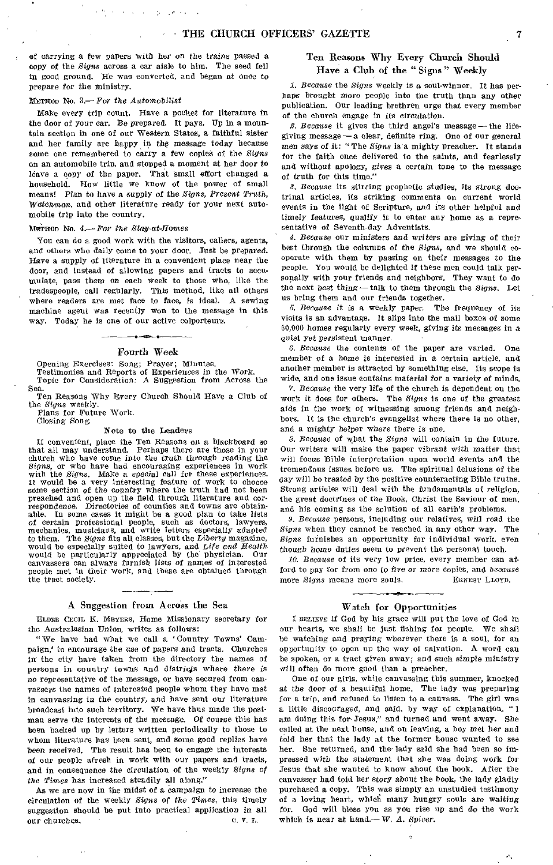of carrying a few papers with her on the *trains* passed a copy of the *Signs* across a car aisle to him. The seed fell in good ground. He was converted, and began at once to prepare for the ministry.

#### METHOD No. 3.— *For the Automobilist*

Make every trip count. Have a pocket for literature in the door of your car. Be prepared. It pays. Up in a mountain section in one of our Western States, a faithful sister and her family are happy in the message today because some one remembered to carry a few copies of the *Signs*  on an automobile trip, and stopped a moment at her door to leave a copy of the paper. That small effort changed a household. How little we know of the power of small means! Plan to have a supply *of* the *Signs, Present Truth, Watchman,* and other literature ready for your next automobile trip into the country.

#### METHOD No. 4.— *For the Stay-at-Homes*

You can do a good work with the visitors, callers, agents, and others who daily come to your door. Just be prepared. Have a supply of literature in a convenient place near the door, and instead of allowing papers and tracts to accumulate, pass them on each week to those who, like the tradespeople, call regularly. This method, like all others where readers are met face to face, is ideal. A sewing machine agent was recently won to the message in this way. Today he is one of our active colporteurs.

#### Fourth Week

Opening Exercises: Song; Prayer; Minutes.

Testimonies and Reports of Experiences in the *Work.*  Topic for Consideration: A Suggestion from Across the Sea.

Ten Reasons Why Every Church Should Have a Club of the *Signs* weekly.

Plans for Future Work.

#### Closing Song.

#### Note to the Leaders

If convenient, place the Ten Reasons on a blackboard *so*  that all may understand. Perhaps there are those in your church who have come into the truth *through* reading the *Signs,* or who have had encouraging experiences in work with the *Signs*. Make a special call for these experiences. It would be a very interesting feature of work to choose some section *of* the country where the truth had not been preached and open up the field through literature and cor-respondence. Directories of counties and towns are obtainable. In some cases it might be a good plan to take lists *of* certain professional people, such as doctors, lawyers, mechanics, musicians, and write letters especially adapted to them. The *Signs* fits all classes, but the *Liberty* magazine, would be especially suited to lawyers, and *Life and Health*  would be particularly appreciated by the physician. Our canvassers can always furnish lists *of* names of interested people met in their work, and these are obtained through the tract society.

#### A Suggestion from Across the Sea

ELDER CECIL K. MEYERS, Home Missionary secretary for the Australasian Union, writes as follows:

" We have had what we call a 'Country Towns' Campaign,' to encourage the *use* of papers and tracts. Churches in the city have taken from the directory the names of persons in country towns and districts where there is no representative of the message, or have secured from canvassers the names of interested people whom they have met in canvassing in the country, and have sent our literature broadcast into such territory. We have thus made the postman serve the interests of the message. Of course this has been backed up by letters written periodically to those to whom literature has been sent, and some good replies have been received. The result has been to engage the interests of our people afresh in work with our papers and tracts, and in consequence the circulation of the weekly *Signs of the Times* has increased steadily all along."

As we are now in the midst of a *campaign* to increase the circulation of the weekly *Signs of the Times,* this timely suggestion should be put into practical application *in all* our churches. our churches.

#### Ten Reasons Why Every Church Should Have a Club of the " Signs " Weekly

*1. Because* the *Signs* weekly is a soul-winner. It has perhaps brought *more* people into the truth than any other publication. Our leading brethren urge that every member of the church engage in its circulation.

*R. Because* it gives the third angel's message—the lifegiving message— a clear, definite ring. One of our general men says of it: " The *Signs* is a mighty preacher. It stands for the faith once delivered to the saints, and fearlessly and without apology, gives a certain tone to the message of truth for this time."

*3. Because* its stirring prophetic studies, its *strong* doctrinal articles, its striking comments on current world events in the light of Scripture, and its other helpful and timely features, qualify it to enter any home as a representative of Seventh-day Adventists.

*4. Because* our ministers *and* writers are giving of their best through the columns of the *Signs,* and we should cooperate with them by passing on their messages to the people. You would be delighted if these men could talk personally with your friends and neighbors, They want to do the next best thing—talk to them through the *Signs.* Let us bring them and our friends together.

*5. Because* it is a weekly paper. The frequency of its visits is an advantage. It slips into the mail boxes of some 60,000 homes regularly every week, giving its messages in a quiet yet persistent manner.

*6. Because* the contents of the paper are varied. One member of a home is interested in a certain article, and another member is attracted by something else. Its scope is wide, and one issue contains material *for* a variety of minds.

*7. Because* the very life of the church is dependent on the work it does for others. The *Signs* is one of the greatest aids in the work of witnessing among friends and neighbors. It is the church's evangelist where there is no other, and a mighty helper where there is one.

*8. Because* of what the *Signs* will contain in the future. Our writers will make the paper vibrant with matter that will focus Bible interpretation upon world events and the tremendous issues before us. The spiritual delusions of the day will be treated by the positive counteracting Bible truths. Strong articles will deal with the fundamentals of religion, the great doctrines of the Book, Christ the Saviour of men, and his coming as the solution of all earth's problems.

*9. Because* persons, including our relatives, will read the *Signs* when they cannot be reached in any other way. The *Signs* furnishes an opportunity for individual work, even though home duties seem to prevent the personal touch.

*10. Because* of its very low price, every member can afford to pay for from one to five or more copies, and because more *Signs* means more souls. ERNEST LLOYD.

#### Watch for Opportunities

I BELIEVE if God by his grace will put the love of God in our hearts, we shall be just fishing for people. We shall be watching and praying wherever there is a soul, for an opportunity to open up the way of salvation. A word can be spoken, or a tract given away; and such simple ministry will often do more good than a preacher.

One of our girls, while canvassing this summer, knocked at the door of a beautiful home. The lady was preparing for a trip, and refused to listen to a canvass. The girl was a little discouraged, and said, by way of explanation, " I am doing this for Jesus," and turned and went away. She called at the next house, and on leaving, a boy met her and told her that the lady at the former house wanted to see her. She returned, and the- lady said she had been so impressed with the statement that she was doing work for Jesus that she wanted to know about the book. After the canvasser had told her story about the book, the lady gladly purchased a copy. This was simply an unstudied testimony of a loving heart, which many hungry souls are *waiting*  for. God will bless you as you rise tip and do the work which is near at hand.— W. *A. Spicer.* 

.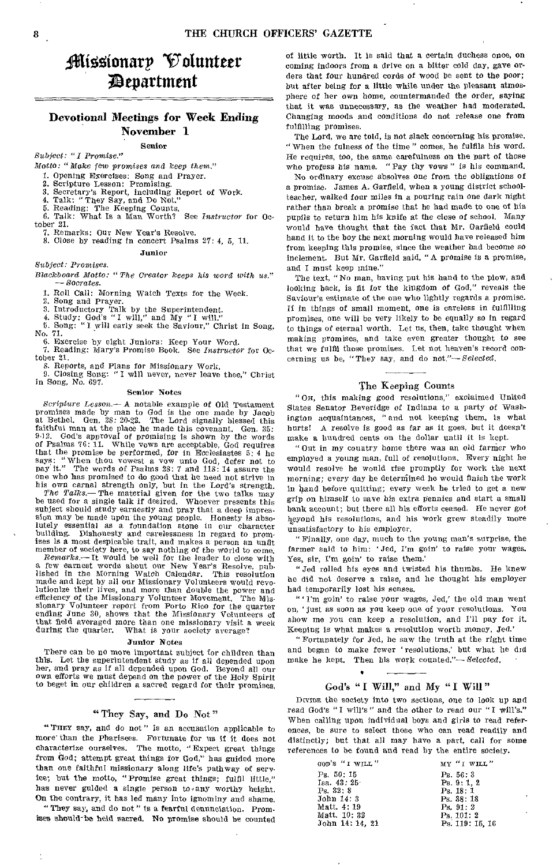## fliliooionarp Volunteer 4Zepartutent

### Devotional Meetings for Week Ending November 1

Senior

*Subject: "I Promise."* 

*Motto: "* Make few *promises* and *keep them."* 

1. Opening Exercises: Song and Prayer.<br>2. Serinture Lesson: Promising

2. Scripture Lesson: Promising.

3. Secretary's Report, including Report of 4. Talk: "They Say, and Do Not.

5. Reading: The Keeping Counts. 6. Talk: What Is a Man Worth? See *Instructor* for October 21.

7. Remarks: Our New Year's Resolve.

8. Close by reading in concert Psalms 27: 4, 5, 11.

#### Junior

#### *Subject: Promises.*

*Blackboard Motto: "The Creator keeps his word with us." — Socrates.* 

1. Roll Call: Morning Watch Texts for the Week. 2. Song and Prayer.

3. Introductory Talk by the Superintendent. 4. Study: God's "I will," and My "I will." 5. Song: " I will early seek the Saviour," Christ in Song, No. 71.

6. Exercise by eight Juniors: Keep Your Word.

7. Reading: Mary's Promise Book. See *Instructor* for October 21.

8. Reports, and Plans for Missionary Work. 9. Closing Song: "I will never, never leave thee," Christ in Song, No. 697.

#### Senior Notes

*Scripture Lesson.—* A notable example of Old Testament promises made by man to God is the one made by Jacob at Bethel. Gen, 28: 20-22. The Lord signally blessed this faithful man at the place he made this covenant. Gen. 35: 9-12. God's approval of promising is shown by the words of Psalms 76:11. While vows are acceptable, God requires<br>that the promise be performed, for in Ecclesiastes 5:4 he<br>says: "When thou vowest a vow unto God, defer not to<br>pay it." The words of Psalms 28:7 and 118:14 assure th one who has promised to do good that he need not strive in his own carnal strength only, but in the Lord's strength.

*The Talks.—* The material given for the two talks may be used for a single talk if desired. Whoever presents this subject should study earnestly and pray that a deep impression may be made upon the young people. Honesty is abso-lutely essential as a foundation stone in our character building. Dishonesty and carelessness in regard to promises Is a most despicable trait, and makes a person an unfit

member of society here, to say nothing of the world to come.<br>Remarks.—It would be well for the leader to close with<br>a few earnest words about our New Year's Resolve, pub-<br>lished in the Morning Watch Calendar. This resoluti made and kept by all our Missionary Volunteers would revo-lutionize their lives, and more than double the power and efficiency of the Missionary Volunteer Movement. The Misefficiency of the Missionary Volunteer Movement. The Missionary Volunteer report from Porto Rico for the quarter ending June 30, shows that the Missionary Volunteers of that field averaged more than one missionary visit a week during the quarter. What is your society average? What is your society average?

#### Junior Notes

There can be no more important subject for children than this. Let the superintendent study as if all depended upon her, and pray as if all depended upon God. Beyond all our own efforts we must depend on the power of the Holy Spirit to beget in our children a sacred regard for their promises.

"They Say, and Do Not"

"THEY say, and do not" is an accusation applicable to more than the Pharisees. Fortunate for us if it does not characterize ourselves. The motto, "Expect great things from God; attempt great things for God," has guided more than one faithful missionary along life's pathway of service; but the motto, "Promise great things; fulfil little," has never guided a single person to any worthy height. On the contrary, it has led many into ignominy and shame.

They say, and do not " is a fearful denunciation. Promises should-be held sacred. No promise should be counted of little worth. It is said that a certain duchess once, on coming indoors from a drive on a bitter cold day, gave orders that four hundred cords of wood be sent to the poor; but after being for a little while under the pleasant atmosphere of her own home, countermanded the order, saying that it was unnecessary, as the weather had moderated. Changing moods and conditions do not release one from fulfilling promises.

The Lord, we are told, is not slack concerning his promise. " When the fulness of the time" comes, he fulfils his word. He requires, too, the same carefulness on the part of those who profess his name. "Pay thy vows" is his command.

No ordinary excuse absolves one from the obligations of a promise. James A. Garfield, when a young district schoolteacher, walked four miles in a pouring rain one dark night rather than break a promise that he had made to one of his pupils to return him his knife at the close of school. Many would have thought that the fact that Mr. Garfield could hand it to the boy the next morning would have released him from keeping this promise, since the weather had become so inclement. But Mr. Garfield said, "A promise is a promise, and I must keep mine."

The text, "No man, having put his hand to the plow, and looking back, is fit for the kingdom of God," reveals the Saviour's estimate of the one who lightly regards a promise. If in things of small moment, one is careless in fulfilling promises, one will be very likely to be equally so in regard to things of eternal worth. Let us, then, take thought when making promises, and take even greater thought to see that we fulfil those promises. Let not heaven's record concerning us be, "They say, and do *not."—Selected.* 

#### The Keeping Counts

"On, this making good resolutions," exclaimed United States Senator Beveridge of Indiana to a party of Washington acquaintances, " and not keeping them, is what hurts! A resolve is good as far as it goes, but it doesn't make a hundred cents on the dollar until it is kept.

"Out in my country home there was an old farmer who employed a young man, full of resolutions. Every night he would resolve he would rise promptly for work the next morning; every day he deterniined he would finish the work in hand before quitting; every week he tried to get a new grip on himself to save his extra Pennies and start a small bank account; but there all his efforts ceased. He never got beyond his resolutions, and his work grew steadily more unsatisfactory to his employer.

" Finally, one day, much to the young man's surprise, the farmer said to him: 'Jed, I'm goin' to raise your wages. Yes, sir, I'm goin' to raise them'

"Jed rolled his eyes and twisted his thumbs. He knew he did not deserve a raise, and he thought his employer had temporarily lost his senses.

" I'm goin' to raise your wages, Jed,' the old man went on, 'just as soon as you keep one of your resolutions. You show me you can keep a resolution, and I'll pay for it. Keeping is what makes a resolution worth money, Jed.'

" Fortunately for Jed, he saw the truth at the right time and began to make fewer 'resolutions,' but what he did make he kept. Then his work counted."— Selected.

#### God's "I Will," and My "I Will"

•

DIVIDE the society into two sections, one to look up and read God's "I will's" and the other to read our "I will's." When calling upon individual boys and girls to read references, be sure to select those who can read readily and distinctly; but that all may have a part, call for some references to be found and read by the entire society.

| GOD'S "I WILL"       | MY "I WILL"                |
|----------------------|----------------------------|
| Ps. 50:15            | Ps. 56:3                   |
| Isa. $43:25$         | Ps.9:1.2                   |
| $P_8$ , $32 \cdot 8$ | Ps. $18:1$                 |
| John 14: 3           | Ps. 38: 18                 |
| Matt. 4:19           | Ps. 91: 2                  |
| Matt. 10:32          | $\mathbf{r}$<br>Ps. 101: 2 |
| John 14: 14. 21      | Ps. 119: 15, 16            |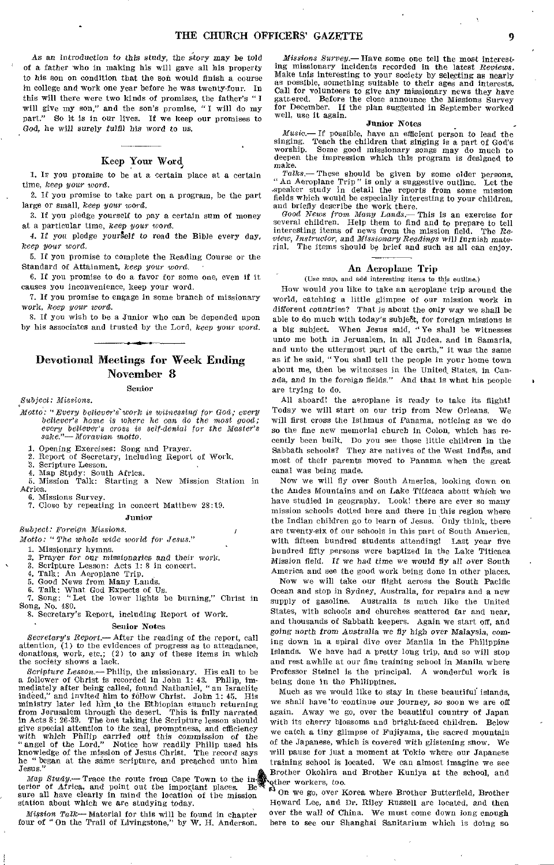As an *introduction to* this study, the story may be told of a father who in making his will gave all his property to his son on condition that the son would finish a course in college and work one year before he was twenty-four. In this will there were two kinds of promises, the father's " I will give my son," and the son's promise, " I will do my part." So it is in our lives. If we keep our promises to God, he will surely fulfil his word to us.

#### Keep Your Word

1. IF you promise to be at a certain place at a certain time, *keep your word.* 

2. If you promise to take part on a program, be the part large or small, *keep your* word.

3. If you pledge yourself to pay a certain sum of money at a particular time, *keep your word,* 

4. If you pledge yourself to read the Bible every day, *keep your word,* 

5. If you promise to complete the Reading Course or the Standard of Attainment, *keep your word.* 

6. If you promise to do a favor for some one, even if it causes you inconvenience, keep your word.

7. If you promise to engage in some branch of missionary work, *keep your word.* 

8. If you wish to be a Junior who can be depended upon by his associates and trusted by the Lord, keep *your word.* 

#### Devotional Meetings for Week Ending November 8 **Senior**

*Subject: Missions.* 

*Motto: "Every believer's work is witnessing' for God; every believer's home is where he can do the most good; every believer's cross is self-denial for the Master's sake."—Moravian motto.* 

1. Opening Exercises: Song and Prayer.

2. Report of Secretary, including Report of Work.

2. Scripture Lesson.

4. Map Study: South Africa.

5. Mission Talk: Starting a New Mission Station in Africa.

6. Missions Survey.

7. Close by repeating in concert Matthew 28:19.

#### **Junior**

*Subject: Foreign Missions.* 

*Motto: "The whole wide world for Jesus."* 

1. Missionary hymns.

*2. Prayer* for our *missionaries* and their work.

3. Scripture Lesson: Acts 1: 8 in concert.

Talk: An Aeroplane Trip.

5. Good News from Many Lands. 6. Talk: What God Expects of Us. 7. Song: "Let the lower lights be burning," Christ n Song, No. 480.

8. Secretary's Report, including Report of **Work.** 

#### **Senior Notes**

*Secretary's Report.—* After the reading of the report, call attention, (1) to the evidences of progress as to attendance, donations, work, etc.; (2) to any of these items in which the society shows a lack.

*Scripture Lesson.—* Philip, the missionary. His call to be a follower of Christ is recorded in John 1: 43. Philip, immediately after being called, found Nathaniel, "an Israelite indeed," and invited him to follow Christ. John 1: 45. His ministry later led him to the Ethiopian eunuch returning from Jerusalem through the desert. This is fully narrated in Acts 8: 26-39. The one taking the Scripture lesson should give special attention to the zeal, promptness, and efficiency with which Philip carried *out* this commission of the " angel of the Lord." Notice how readily Philip used his knowledge of the mission of Jesus Christ. The record says he " began at the same scripture, and preached unto him Jesus."

*Map Study.—* Trace the route from Cape Town to the interior of Africa, and point out the important places. Be sure all have clearly in mind the location of the mission station about which we are studying today.

*Mission Talk—* Material for this will be found in chapter four of "On the Trail of Livingstone," by W. H. Anderson.

*Missions Survey.—* Have some one tell the most interesting missionary incidents recorded in the latest *Reviews.*  Make tois interesting to your society by selecting as nearly as possible, something suitable to their ages and interests, Call for volunteers to give any missionary news they have gathered. Before the close announce the Missions Survey for December. If the plan suggested in September worked well, use it again.

Junior Notes<br>If possible, have an efficient person to lead the *Music.—* If possible, have an efficient person to lead the singing. Teach the children that singing is a part of God's worship. Some good missionary songs may do much to deepen the impression which this program is designed to  $\frac{make.}{\text{Falks}}$ 

These should be given by some older persons. "An Aeroplane Trip" is only a suggestive outline. Let the speaker study in detail the reports from some mission fields which would be especially interesting to your children, and briefly describe the work there.

*Good News from Many Lands.—* This is an exercise for several children. Help them to find and to prepare to tell<br>interesting items of news from the mission field. The Reinteresting items of news from the mission field. *view, Instructor, and Missionary Readings* will *furnish* mate-rial. The items should be brief and such as all can enjoy.

#### An Aeroplane Trip

(Use map, and add interesting items to this outline.)

How would you like to take an aeroplane trip around the world, catching a little glimpse of our mission work in *different* countries? That is about the only way we shall be able to do much with today's subjeffi, for foreign missions is a big subject. When Jesus said, "Ye shall be witnesses unto me both in Jerusalem, in all Judea, and in Samaria, and unto the uttermost part of the earth," it was the same as if he said, "You shall tell the people in your home town about me, then be witnesses in the United, States, in Canada, and in the foreign fields." And that is what his people are trying to do.

All aboard! the aeroplane is ready to take its flight! Today we will start on our trip from New Orleans. We will first cross the Isthmus of Panama, noticing as we do so the fine new memorial church in Colon, which has recently been built. Do you see those little children in the Sabbath schools? They are natives of the West Indies, and most of their parents moved to Panama when the great canal was being made.

Now we will fly over South America, looking down on the Andes Mountains and on Lake Titicaca about which we have studied in geography. Look! there are ever so many mission schools dotted here and there in this region where the Indian children go to learn of Jesus. Only think, there are twenty-six of our schools in this part of South America, with fifteen hundred students attending! Last year five hundred fifty persons were baptized in the Lake Titicaca Mission field. If we had *time* we would fly all over South America **and see** the good work being done in other places.

Now we will take our flight across the South Pacific Ocean and stop in Sydney, Australia, for repairs and a new supply of gasoline. Australia is much like the United States, with schools and churches scattered far and near, and thousands of Sabbath keepers. Again we start off, and *going north from* Australia we fly high over Malaysia, coming down in a spiral dive over Manila in the Philippine Islands. We have had a pretty long trip, and so will stop and rest awhile at our fine training school in Manila where Professor Steinel is the principal, A wonderful work is being done in the Philippines.

Much as we would like to stay in these beautiful islands, we shall have to continue our journey, so soon we are off again. Away we go, over the beautiful country of Japan with its cherry blossoms and bright-faced children. Below we catch a tiny glimpse of Fujiyama, the sacred mountain of the Japanese, which is covered with glistening snow. We will pause for just a moment at Tokio where our Japanese training school is located. We can almost imagine we see Brother Okohira and Brother Kuniya at the school, and her workers, too.

rJ On we go, over Korea where Brother Butterfield, Brother Howard Lee, and Dr. Riley Russell are located, and then over the wall of China. We must come down long enough here to see our Shanghai Sanitarium which is doing so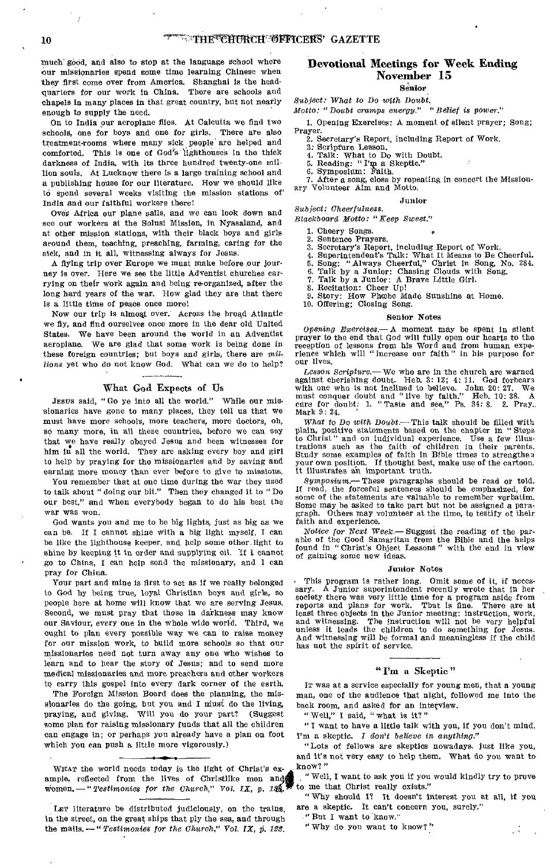Much' good, and also to stop at the language school where our missionaries spend some time learning Chinese when they first come over from America. Shanghai is the headquarters for our work in China. There are schools and chapels in many places in that great country, but not nearly enough to supply the need.

On to India our aeroplane flies. At Calcutta we find two schools, one for boys and one for girls. There are also treatment-rooms where many sick people!are helped and comforted. This is one of God's lighthouses in the thick darkness of India, with its three hundred twenty-one million souls. At Lucknow there is a large training school and a publishing house for our literature. How we should like to spend several weeks visiting the mission stations of India and our faithful workers there!

Ores Africa our plane sails, and we can look down and see our workers at the Solusi Mission, in Nyasaland, and at other mission stations, with their black boys and girls around them, teaching, preaching, farming, caring for the sick, and in it all, witnessing always for Jesus.

A flying trip over Europe we must make before our journey is over. Here we see the little Adventist churches carrying on their Work again and being re-organized, after the long hard years of the war. How glad they are that there is a little time of peace once more!

Now our trip is almoqt over. Across the broad Atlantic we fly, and find ourselves once more in the dear old United States. We have been around the world in an Adventist aeroplane. We are glad that some work is being done in these foreign countries; but boys and girls, there are *millions* yet who do not know God. What can we do to help?

#### What God Expects of Us

JESUS said, "Go ye into all the world." While our missionaries have gone to many places, they tell us that we must have more schools, more teachers, more doctors, oh, so many more, in all these countries, before we can say that we have really obeyed Jesus and been witnesses for him in all the world. They are acking every beyond girl him in all the world. They are asking every boy and girl to help by praying for the missionaries and by saving and earning more money than ever before to give to missions.

You remember that at one time during the war they used to talk about " doing our bit." Then they changed it to " Do our best," and when everybody began to do his best the war was won.

God wants you and me to be big lights, just as big as we can be. If I cannot shine with a big light myself, I can be like the lighthouse keeper, and help some other.light to shine by keeping it in order and supplying oil. If I cannot go to China, I can help send the missionary, and 1 can pray for China.

Your part and mine is first to act as if we really belonged to God by being true, loyal Christian boys and girls, so people here at home will know that we are serving Jesus. Second, we must pray that those in darkness may know our Saviour, every one in the whole wide world. Third, we ought to plan every possible way we can to raise money for our mission work, to build more schools so that our missionaries need not turn away any one who wishes to learn and to hear the story of Jesus; and to send more medical missionaries and more preachers and other workers to carry this gospel into every dark corner of the earth.

The Foreign Mission Board does the planning, the missionaries do the going, but you and I must do the living, praying, and giving. Will you do your part? (Suggest some plan for raising missionary funds that all the children can engage in; or perhaps you already have a plan on foot which you can push a little more vigorously.)

WHAT the world needs today is the light of Christ's example, reflected from the lives of Christlike men an women. — " *Testimonies for the Church*," Vol. IX, p. 13

#### Devotional Meetings for Week Ending November 15

Senior

*Subject: What to Do with Doubt. Motto: "Doubt cramps energy." "Belief is power."* 

1. Opening Exercises: A moment of silent prayer; Song;

Prayer. 2. Secretary's Report, including Report of Work.

- 3: Scripture Lesson.
- 4, Talk: What to Do with Doubt.
- 5. Reading: "Pip a Skeptic."
- 

6, Symposium: Faith, 7. After a song, close by repeating in concert the Missionary Volunteer Aim and Motto.

#### Junior

*Subject: Cheerfulness. Blackboard Motto: "Keep Sweet."* 

1. Cheery Songs.<br>2. Sentence Pray Sentence Prayers.

- 
- 
- 3. Secretary's Report, including Report of Work. 4. Superintendent's Talk: What It Means to Be Cheerful. 5. Song: "Always Cheerful," Christ in Song, No. 284. 6. Talk by a Junior: Chasing Clouds with Song.
- 

7. Talk by a Junior: A Brave Little Girl.

8. Recitation: Cheer Up! 9. Story: How Phoebe Made Sunshine at Home.

10. Offering; Closing Song.

#### Senior Notes

*Opening Exercises.—* A moment may be spent in silent prayer to the end that God will fully open our hearts to the reception of lessons from his Word and from human expe-rience which will " increase our faith " in his purpose for our lives.

*Lesson Scripture.— We* who are in the church are warned against cherishing doubt. Heb. 3: 12; 4: 11. God forbears<br>with one who is not inclined to believe. John 20: 27. We<br>must conquer doubt and "live by faith." Heb. 10: 38. A<br>cure for doubt: 1. "Taste and see," Ps. 34: 8. 2. Pr eure for de<br>Mark 9: 24.

*What to Do with Doubt.*—This talk should be filled with ain, positive statements based on the chapter in "Steps" plain, positive statements based on the chapter in "Steps<br>to Christ" and on individual experience. Use a few illusto Christ" and on individual experience. trations such as the faith of children in their parents. Study some examples of faith in Bible times to strengthen your own position. If thought best, make use of the cartoon. It illustrates an important truth.

*Symposium,—* These paragraphs should be read or told. If read, the forceful sentences should be emphasized, for some of the statements are valuable to remember verbatim. Some may be asked to take part but not be assigned a paragraph. Others may volunteer at the time, to testify of their faith and experience.

*Notice for Next Week.—* Suggest the reading of the parable of the Good Samaritan from the Bible and the helps found in " Christ's Object Lessons " with the end in view of gaining some new ideas.

#### Junior Notes

This program is rather long. Omit some of it, if necessary. A Junior superintendent recently wrote that in her society there was very little time for a program aside from reports and plans for work. That is fine. There are And witnessing will be formal and meaningless if the child has not the spirit of service.

#### " I'm a Skeptic "

IT was at a service especially for young men, that a young man, one of the audience that night, followed me into the back room, and asked for an interview.

"Well," I said, "what is it?"

" I want to have a little talk with you, if you don't mind. I'm a skeptic. *I don't believe in anything."* 

"Lots of fellows are skeptics nowadays, just like you, and it's not very easy to help them. What do you want to know?"

" Well, I want to ask you if you would kindly try to prove to me that Christ really exists."

"Why should I? It doesn't interest you at all, if you are a skeptic. It can't concern you, surely."

"But I want to know.

" Why do you want to know?"

LET literature be distributed judiciously, on the trains, in the street, on the great ships that ply the sea, and through the mails.— " *Testimonies for the Church," Vol. IX, 0. 128.*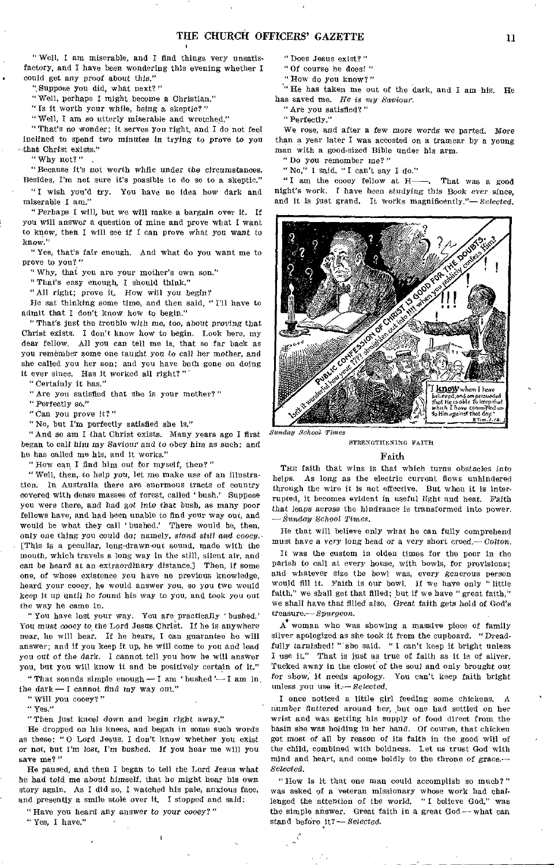" Well, I am miserable, and I find things very unsatisfactory, and I have been wondering this evening whether I could get any proof about this."

"Suppose you did, what next?"

" Well, perhaps I might become a Christian."

" Is it worth your while, being a skeptic?"

"Well, I am so utterly miserable and wretched."

" That's no wonder; it serves you right, and I do not feel inclined to spend two minutes *in trying* to prove to you that Christ exists;"

"Why not?" .

"Because it's not worth while under the circumstances. Besides, I'm not sure it's possible to do so to a skeptic."

" I wish you'd try, You have no idea how dark and miserable I am."

"Perhaps I will, but we will make a bargain over it. If you will answer a question of mine and prove what I want to know, then I will see if I can prove what *you* want to know."

" Yes, that's fair enough. And what do you want me to prove to you?"

" Why, that you are your mother's own son."

"That's easy enough, I should think."

"All right; prove it. How will you begin?

He sat thinking some time, and then said, " I'll have to admit that I don't know how to begin."

" That's just the trouble with me, too, about proving that Christ exists. I don't know how to begin. Look here, my dear fellow. All you can tell me is, that so far back as you remember some one taught you to call her mother, and she called you her son; and you have both gone on doing it ever since. Has it worked all right?

" Certainly it has."

"Are you satisfied that she is your mother?"

"Perfectly so."

"Can you prove it?"

"No, but I'm perfectly satisfied she is."

"And so am I that Christ exists. Many years ago I first began to call him my *Saviour and* to obey him as such; and he has called me his, and it works."

"How can I find him out for myself, then?"

" Well, then, to help you, let me make use of an illustration. In Australia there are enormous tracts of country covered with dense masses of forest, called ' bush.' Suppose you were there, and had got *into* that bush, as many poor fellows have, and had been unable to find your way out, and would be what they call ' bushed.' There would be, then, only one thing you could do; namely, *stand still and cooey*. (This is a peculiar, long-drawn-out sound, made with the mouth, which travels a long way in the still, silent air, and can be heard at an extraordinary distance.] Then, if some one, of whose existence you have no previous knowledge, heard your cooey, he would answer you, so you two would keep it up until he found his way to you, and took you out the way he came in.

" You have lost your way. You are practically ' bushed.' You must cooey to the Lord Jesus Christ. If he is anywhere near, he will hear. If he hears, I can guarantee he will answer; and if you keep it up, he will come to you and lead you out *of* the dark. I cannot tell you how he will answer you, but you will know it and be positively certain of it."

" That sounds simple enough  $-$  I am ' bushed'  $-$  I am in, the dark — I cannot find *my way* out."

"Will you cooey?"

" Yes,"

"Then just kneel down and begin right away."

He dropped on his knees, and began in some such words as these: " 0 Lord Jesus, I don't know whether you exist or not, but I'm lost, I'm bushed. If you hear me will you save me?"

He paused, and then I began to tell the Lord Jesus what he had told me about *himself,* that he might hear his own story again. As I did so, I watched his pale, anxious face, and presently a smile stole over it. I stopped and said:

"Have you heard any answer to your cooey?"

" Yes, I have."

- " Does Jesus exist?"
- "Of course he does? "
- "How do you know?"

" He has taken me out of the dark, and I am his. He has saved me. *He is my Saviour.* 

"Are you satisfied?"

" Perfectly."

We rose, and after a few more words we parted. More than a year later I was accosted on a tramcar by a young man with a good-sized Bible under his arm.

"Do you remember me?"

" No," I said, " I can't say I do."

"I am the cooey fellow at H-. That was a good night's work. I have been studying this Book ever *since,*  and it is just grand. It works magnificently."— *Selected.* 



STRENGTHENING FAITH

#### Faith

THE faith that wins is that which turns obstacles into helps. As long as the electric current flows unhindered through the wire it is not effective, But when it is interrupted, it becomes evident in useful light and heat. *Faith*  that leaps across the hindrance is transformed into power. *— Sunday School Times.* 

He that will believe only what he can fully comprehend must have a very long head *or* a very short creed.— *Colton.* 

It was the custom in olden times for the poor in the parish to call at every house, with bowls, for provisions: and whatever size the bowl was, every generous person would fill it. Faith is our bowl. If we have only " little faith," we shall get that filled; but if we have " great faith," we shall have that filled also. Great faith gets bold of God's treasure.— *Spurgeon.* 

A woman who was showing a massive piece of family silver apologized as she took it from the cupboard. "Dreadfully tarnished! "'she said. "I can't keep it bright unless I use it." That is just as true of faith as it is of silver. Tucked away in the closet of the soul and only brought out *for* show,' it needs apology. You can't keep faith bright unless you use *it—Selected.* 

I once noticed a little girl feeding some chickens. A number fluttered around her, but one had settled on her wrist and was getting his supply of food direct from the basin she was holding in her hand. Of course, that chicken got most *of* all by reason of its faith in the good will of the child, combined with boldness. Let us trust God with mind and heart, and come boldly to the throne of grace.— *Selected.* 

"How is it that one man could accomplish so much?" was asked of a veteran missionary whose work had challenged the attention of the world. "I believe God," was the simple answer. Great faith in a great God—what can stand before it? - Selected.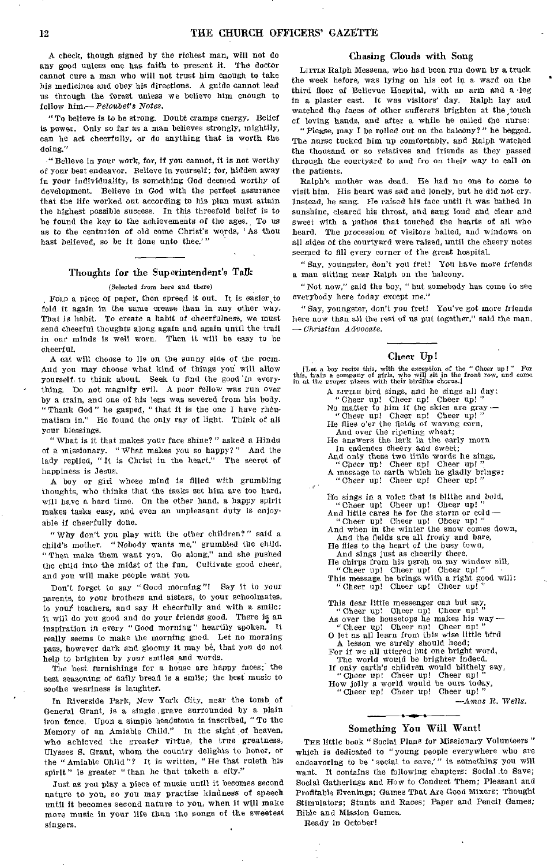A check, though signed by the richest man, will not do any good unless one has faith to present it. The doctor cannot cure a man who will not trust him enough to take his medicines and obey his directions. A guide cannot lead us through the forest unless we believe him enough to follow *him.—Pefoubet's Notes.* 

"To believe is to be strong. Doubt cramps energy, Belief is power. Only so far as a man believes strongly, mightily, can he act cheerfully, or do anything that is worth the doing."

"Believe in your work, for, if you cannot, it is not worthy of your best endeavor. Believe in yourself; for, hidden away in your individuality, is something God deemed worthy of development. Believe in God with the perfect assurance that the life worked out according to his plan must attain the highest possible success. In this threefold belief is to be found the key to the achievements of the ages. To us as to the centurion of old come Christ's words, 'As thou hast believed, so be it done unto thee.'"

#### Thoughts for the Superintendent's Talk

#### (Selected from here and there)

Forn a piece of paper, then spread it out. It is easier to fold it again in the same crease than in any other way. That is habit. To create a habit of cheerfulness, we must send cheerful thoughts along again and again until the trail in our minds is well worn. Then it will be easy to be cheerful.

A cat will choose to lie on the sunny side of the room. And you may choose what kind of things you will allow yourself, to think about. Seek to find the good 'in everything. Do not magnify evil. A poor fellow was run over by a train, and one of his legs was severed from his body. " Thank God " he gasped, " that it is the one I have rheumatism in." He found the only ray of light. Think of all your blessings.

" What is it that makes your face shine?" asked a Hindu of a missionary. "What makes you so happy?" And the lady replied, " It is Christ in the heart." The secret of happiness is Jesus.

A boy or girl whose mind is filled with grumbling thoughts, who thinks that the tasks set him are too hard, will have a hard time. On the other hand, a happy spirit makes tasks easy, and even an unpleasant duty is enjoyable if cheerfully done.

"Why don't you play with the other children?" said a child's mother. " Nobody wants me," grumbled the child. "Then make them want you. Go along," and she pushed the child into the midst of the fun, Cultivate good cheer, and you will make people want you.

Don't forget to say "Good morning"! Say it to your parents, to your brothers and sisters, to your schoolmates, to you' teachers, and say it cheerfully and with a smile; it will do you good and do your friends good. There is an inspiration in every "Good morning" heartily spoken. It really seems to make the morning good. Let no morning pass, however dark and gloomy it may be, that you do not help to brighten by your smiles and words.

The best furnishings for a house are happy faces; the best seasoning of daily bread is a smile; the best music to soothe weariness is laughter.

In Riverside Park, New York City, near the tomb of General Grant, is a single .grave surrounded by a plain iron fence. Upon a simple headstone is inscribed, "To the Memory of an Amiable Child." In the sight of heaven, who achieved the greater virtue, the true greatness, Ulysses S. Grant, whom the country delights to honor, or the "Amiable Child"? It is written, "He that ruleth his spirit" is greater "than he that taketh a city."

Just as you play a piece of music until it becomes second nature to you, so you may practise kindness of speech until it becomes second nature to you, when it will make more music in your life than the songs of the sweetest singers.

#### Chasing Clouds with Song

LITTLE Ralph Messena, who had been run down by a truck the week before, was lying on his cot in a ward on the third floor of Bellevue Hospital, with an arm and a leg in a plaster cast. It was visitors' day. Ralph lay and watched the faces of other sufferers brighten at the touch of loving hands, and after a while he called the nurse:

"Please, may I be rolled out on the balcony?" he begged. The nurse tucked him up comfortably, and Ralph watched the thousand or so relatives and friends as they passed through the courtyard to and fro on their way to call on the patients.

Ralph's mother was dead. He had no one to come to visit him. His heart was sad and lonely, but he did not cry. Instead, he sang. He raised his face until it was bathed in sunshine, cleared his throat, and sang loud and clear and sweet with a pathos that touched the hearts of all who heard. The procession of visitors halted, and windows on all sides of the courtyard were raised, until the cheery notes seemed to fill every corner of the great hospital.

" Say, youngster, don't you fret! You have more friends a man sitting near Ralph on the balcony.

"Not now," said the boy, "but somebody has come to see everybody here today except me."

" Say, youngster, don't you fret! You've got more friends here now than all the rest of us put together," said the man. *— Christian Advocate.* 

#### Cheer Up!

[Let a boy recite this, with the exception of the " Cheer up I " For this, train a company of girls, who will sit in the front row, and come in at the proper places with their birdlike chorus.]

| A LITTLE bird sings, and he sings all day:                                          |
|-------------------------------------------------------------------------------------|
| "Cheer up! Cheer up! Cheer up!"<br>No matter to him if the skies are gray -         |
|                                                                                     |
| "Cheer up! Cheer up! Cheer up!"                                                     |
| He flies o'er the fields of waving corn,                                            |
| And over the ripening wheat;                                                        |
| He answers the lark in the early morn                                               |
| In cadences cheery and sweet;                                                       |
| And only these two little words he sings,                                           |
| "Cheer up! Cheer up! Cheer up!"<br>A message to earth which he gladly brings:       |
|                                                                                     |
| "Cheer up! Cheer up! Cheer up!"                                                     |
| He sings in a voice that is blithe and bold,                                        |
| "Cheer up! Cheer up! Cheer up!"                                                     |
| And little cares he for the storm or cold $-$                                       |
| "Cheer up! Cheer up! Cheer up!"                                                     |
| And when in the winter the snow comes down,                                         |
| And the fields are all frosty and bare,                                             |
| He flies to the heart of the busy town,                                             |
| And sings just as cheerily there.                                                   |
| He chirps from his perch on my window sill,                                         |
| "Cheer up! Cheer up! Cheer up!"                                                     |
| This message he brings with a right good will:                                      |
| "Cheer up! Cheer up! Cheer up!"                                                     |
|                                                                                     |
| This dear little messenger can but say,                                             |
| "Cheer up! Cheer up! Cheer up!"                                                     |
| As over the housetops he makes his way-                                             |
| "Cheer up! Cheer up! Cheer up!"                                                     |
| O let us all learn from this wise little bird                                       |
| A lesson we surely should heed;                                                     |
| For if we all uttered but one bright word,                                          |
| The world would be brighter indeed.<br>If only earth's children would blithely say, |
| "Cheer up! Cheer up! Cheer up!"                                                     |
| How jolly a world would be ours today,                                              |
| "Cheer up! Cheer up! Cheer up!"                                                     |
|                                                                                     |
| $-Amos R$ . Wells.                                                                  |

#### Something You Will Want!

THE little book "Social Plans for Missionary Volunteers" which is dedicated to "young people everywhere who are endeavoring to be 'social to save,'" is something you will want. It contains the following chapters: Social to Save; Social Gatherings and How to Conduct Them; Pleasant and Profitable Evenings; Games That Are Good Mixers; Thought Stimulators; Stunts and Races; Paper and Pencil Games; Bible and Mission Games.

Ready in October!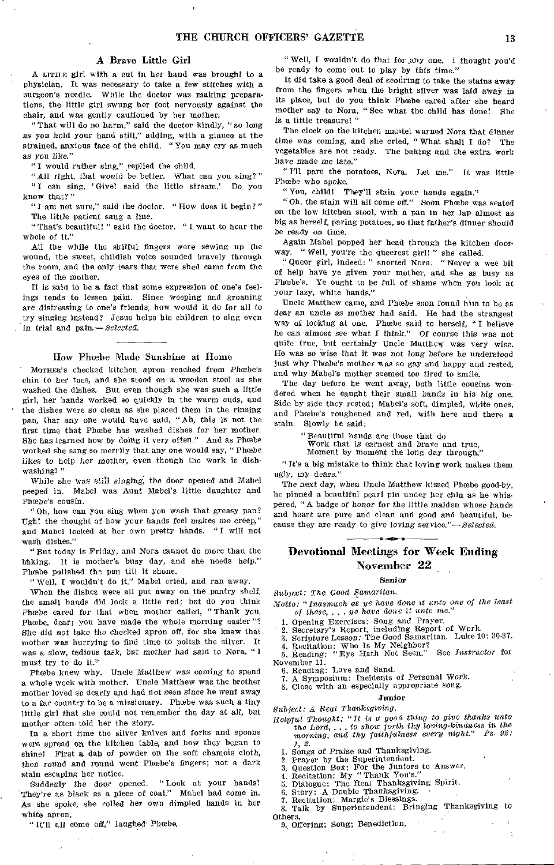#### A Brave Little Girl

A LITTLE girl with a cut in her hand was brought to a physician. It was necessary to take a few stitches with a surgeon's needle. While the doctor was making preparations, the little girl swung her foot nervously against the chair, and was gently cautioned by her mother.

" That will do no harm," said the doctor kindly, " so long as you hold your hand still," adding, with a glance at the strained, anxious face of the child. "You may cry as much as *you* like."

" I would rather sing," replied the child.

"All *right,* that would be better. What can you sing?" " I can sing, ' Give! said the little stream.' Do you know that?"

" I am not sure," said the doctor. " How does it begin? " The little patient sang a line.

"That's beautiful! " said the doctor. " I want to hear the whole of it."

All the while the skilful fingers were sewing up the wound, the sweet, childish voice sounded bravely through the room, and the only tears that were shed came from the eyes of the mother.

It is said to be a fact that some expression of one's feelings tends to lessen pain. Since weeping and groaning are distressing to one's friends, how would it do for all to try singing instead? Jesus helps his children to sing even in trial and pain.— *Selected.* 

#### How Phosbe Made Sunshine at Home

Morner's checked kitchen apron reached from Phoebe's chin to her toes, and she stood on a wooden stool as she washed the dishes. But even though she was such a little girl, her hands worked so quickly in the warm suds, and the dishes were so clean as she placed them in the rinsing pan, that any one would have said, " Ah, this is not the first time that Phoebe has washed dishes for her mother. She has learned how by doing it very often." And as Phoebe worked she sang so merrily that any one would say, " Phoebe likes to help her mother, even though the work is dishwashing! "

While she *was still singing,* the door opened and Mabel peeped in. Mabel was Aunt Mabel's little daughter and Phœbe's cousin.

" Oh, how can you sing when you wash that greasy pan? Ugh! the thought of how your hands feel makes me creep," and Mabel looked at her own pretty hands. " I will not wash dishes."

"But today is Friday, and Nora cannot do more than the biking. It is mother's busy day, and she needs help." Phoebe polished the pan till it shone.

" Well, I wouldn't do it," Mabel cried, and ran away.

When the dishes were all put away on the pantry shelf, the small hands did look a little red; but do you think Phoebe cared for that when mother called, "Thank you, Phoebe, dear; you have made the whole morning easier"? She did *not* take the checked apron off, for she knew that mother was hurrying to find time to polish the silver. It was a slow, tedious task, but mother had said to Nora, " I must try to do it."

Phoebe knew why. Uncle Matthew was coming to spend a whole week with mother. Uncle Matthew was the brother mother loved so dearly and had not seen since he went away to a far country to be a missionary. Phoebe was such a tiny little girl that she could not remember the day at all, but mother often told her the story.

In a short time the silver knives and forks and spoons were spread on the kitchen table, and how they began to shine! First a dab of powder on the soft chamois cloth, then round and round went Phoebe's fingers; not a dark stain escaping her notice.

Suddenly the door opened. " Look at your hands! 'They're as black as a piece of coal." Mabel had come in. As she spoke, she rolled her own dimpled hands in her white apron.

"It'll all come off," laughed Phoebe.

" Well, I wouldn't do that for any one. I thought you'd be ready to come out to play by this time."

It did take a good deal of scouring to take the stains away from the fingers when the bright silver was laid away in its place, but do you think Phoebe cared after she heard mother say to Nora, " See what the child has done! She is a little treasure! "

The clock on the kitchen mantel warned Nora that dinner time was coming, and she cried, "What shall I do? The vegetables are not ready. The baking and the extra work have made me late."

" I'll pare the potatoes, Nora. Let me." It was little Phœbe who spoke.

" You, child! They'll stain your hands again."

"Oh, the stain will all come off." Soon Phoebe was seated on the low kitchen stool, with a pan in her lap almost as big as herself, paring potatoes, so that father's dinner should be ready on time.

Again Mabel popped her head through the kitchen doorway. " Well, you're the queerest girl! " she called.

"Queer girl, indeed: " snorted Nora. "Never a wee bit of help have ye given your mother, and she as busy as Phoebe's. Ye ought to be full of shame when you look at your lazy, white hands."

Uncle Matthew came, and Phoebe soon found him to be as dear an uncle as mother had said. He had the strangest way of looking at one. Phoebe said to herself, "I believe he can almost see what I think." Of course this was not quite true, but certainly Uncle Matthew was very wise. He was so wise that it was not long before he understood just why Phoebe's mother was so gay and happy and rested, and why Mabel's mother seemed too tired to smile.

The day before he went away, both little cousins wondered when he caught their small hands in his big one. Side by side they rested; Mabel's soft, dimpled, white ones, and Phoebe's roughened and red, with here and there a stain. Slowly he said:

"Beautiful hands are those that do

Work that is earnest and brave and true,

Moment by moment the long day through."

"It's a big mistake to think that loving work makes them ugly, my dears."

The next day, when Uncle Matthew kissed Phoebe good-by, he pinned a beautiful pearl pin under her chin as he whispered, "A badge of *honor for the* little maiden whose hands and heart are pure and clean and good and beautiful, because they are ready to *give loving service."—Selected.* 

#### Devotional Meetings for Week Ending November 22

Senior

*Subject: The Good Samaritan. Motto: "Inasmuch as* ye *have done tt unto one of the least of* these, . . . *ye have done it unto me."* 

*1.* Opening Exercises: Song and Prayer. • 2. Secretary's Report, including Report of Work. 3. Scripture Lesson: The Good Samaritan. Luke 10: 30-37.

4. Recitation: Who Is My Neighbor? 5. Reading: " Eye Hath Not Seen." See *Instructor* for November 11.

6. Reading: Love and Sand.

7. A Symposium: Incidents of Personal Work.

8. Close with an especially appropriate song.

**Junior** 

*Subject: A Real Thanksgiving.* 

- *Helpful Thought: "It is a good thing to give thanks unto the* Lord, ... *to show forth thy loving-kindness in the morning, and thy faithfulness every night." Ps. 92:* 
	- *1, 2.*
	-
	- 1. Songs of Praise and Thanksgiving. 2. Prayer by the Superintendent. 3. Question Box: For the Juniors to Answer. 4. Recitation: My " Thank You's." 5. Dialogue: The Real Thanksgiving Spirit.
	-
	-
	- 6. Stbry: -A Double *Thanksgiving.*  7. Recitation: Margie's Blessings.
- 7. Recitation: Margie's Blessings.<br>8. Talk by Superintendent: Bringing Thanksgiving to **Others**

9. Offering; Song; Benediction.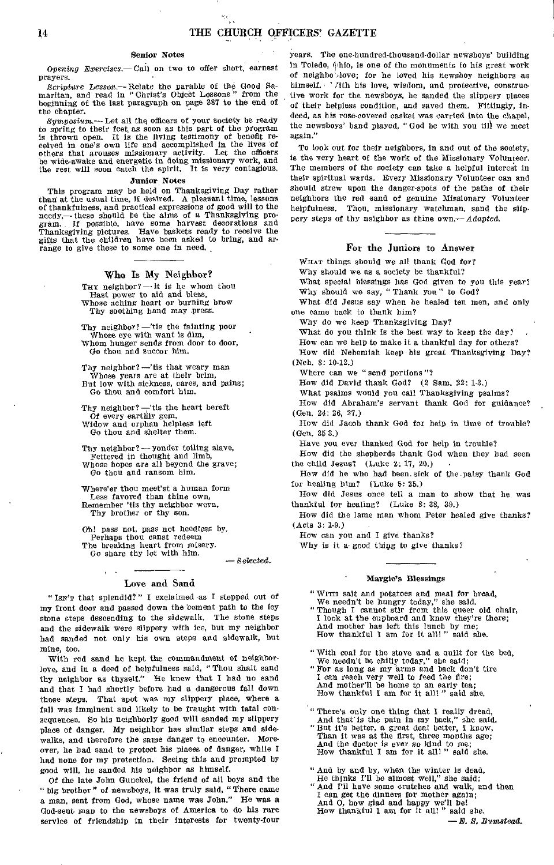#### Senior Notes

*Opening Exercises.—* Call on two to offer short, earnest prayers.

*Scripture Lesson.—Relate* the parable of the Good Sa-maritan, and read in "Christ's Object Lessons " from the beginning of the last paragraph on page 387 to the end of the chapter.

*Symposium.—Let* all the officers of your society be ready to spring to their feet, as soon as this part of the program is thrown open. It is the living testimony of benefit received in one's own life and accomplished in the lives of others that arouses missionary activity. Let the officers be wide-awake and energetic in doing missionary work, and the rest will soon catch the spirit, It is very contagious.

#### Junior Notes

This program may be held on Thanksgiving Day rather than at the usual time, if desired. A pleasant time, lessons of thankfulness, and practical expressions of good will to the needy,— these should be the aims of a Thanksgiving pro-gram.. If possible, have some harvest decorations and Thanksgiving pictures. Have baskets ready to receive the gifts that the children have been asked to bring, and arrange to give these to some one in need.

#### Who Is My Neighbor?

THY neighbor?  $-$  it is he whom thou Hest power to aid and bless, Whose aching heart or burning brow Thy soothing hand may press.

Thy neighbor?  $-\text{its}$  the fainting poor Whose eye with want is dim, Whom hunger sends from door to door, Go thou and succor him.

Thy neighbor? —'tis that weary man Whose years are at their brim,<br>But low with sickness, cares, and pains; Go thou and comfort him.

Thy neighbor? —'tis the heart bereft Of every earthly gem, Widow and orphan helpless left

Go thou and shelter them.

Thy neighbor? — yonder toiling slave, Fettered in thought and limb, Whose hopes are all beyond the grave; Go thou and ransom him.

Where'er thou meet'st a human form Less favored than thine own, Remember 'tis thy neighbor worn, Thy brother or thy son.

Oh! pass not, pass not heedless by. Perhaps thou canst redeem The breaking heart from misery. Go share thy lot with him.

— Selected.

#### Love and Sand

"Isn'r that splendid?" I exclaimed as I stepped out of my front door and passed down the 'cement path to the icy stone steps descending to the sidewalk. The stone steps and the sidewalk were slippery with ice, but my neighbor had sanded not only his own steps and sidewalk, but mine, too.

With red sand he kept the commandment of neighborlove, and in a deed of helpfulness said, "Thou shalt sand thy neighbor as thyself." He knew that I had no sand and that I had shortly before had a dangerous fall down those steps. That spot was my slippery place, where a fall was imminent and likely to be fraught with fatal consequences. So his neighborly good will sanded my slippery place of danger. My neighbor has similar steps and sidewalks, and therefore the same danger to encounter. Moreover, he had sand to protect his places of danger, while I had none for my protection. Seeing this and prompted by good will, he sanded his neighbor as himself.

Of the late John Gunckel, the friend of all boys and the "big brother" of newsboys, it was truly said, "There came a man, sent from God, whose name was John." He was a God-sent man to the newsboys of America to do his rare service of friendship in their interests for twenty-four

years. The one-hundred-thousand-dollar newsboys' building in Toledo,  $\phi$ hio, is one of the monuments to his great work of neighbo /dove; for he loved his newsboy neighbors as himself. ' Tith his love, wisdom, and protective, constructive work for the newsboys, he sanded the slippery places of their helpless condition, and saved them. Fittingly, indeed, as his rose-covered casket was carried into the chapel, the newsboys' band played, " God be with you till we meet again."

To look out for their neighbors, in and out of the society, is the very heart of the work of the Missionary Volunteer. The members of the society can take a helpful interest in their spiritual wards. Every Missionary Volunteer can and should strew upon the danger-spots of the paths of their neighbors the red sand of genuine Missionary Volunteer helpfulness. Thou, missionary watchman, sand the slippery steps of thy neighbor as thine own.— *Adapted.* 

#### For the Juniors to Answer

WHAT things should we all thank God for?

Why should we as a society be thankful?

What special blessings has God given to you this year? Why should we say, "Thank you" to God?

What did Jesus say when he healed ten men, and only one came back to thank him?

Why do we keep Thanksgiving Day?

What do you think is the best way to keep the day?

How can we help to make it a thankful day for others?

How did Nehemiah keep his great Thanksgiving Day? (Neh. 8: 10-12.)

Where can we " send portions"?

How did David thank God? (2 Sam. 22: 1-3.)

What psalms would you call Thanksgiving psalms?

How did Abraham's servant thank God for guidance? (Gen. 24: 26, 27.)

How did Jacob thank God for help in time of trouble? (Gen. 35 3.)

Have you ever thanked God for help in trouble?

How did the shepherds thank God when they had seen the child Jesus? (Luke 2: 17, 20.)

How did he who had been. sick of the palsy thank God for healing him? (Luke 5: 25.)

How did Jesus once tell a man to show that he was thankful for healing? (Luke 8: 38, 39.)

How did the lame man whom Peter healed give thanks? (Acts 3: 1-9.)

How can you and I give thanks?

Why is it a good thing to give thanks?

#### Margie's Blessings

- " WITH salt and potatoes and meal for bread,
- We needn't be hungry today," she said.<br>
"Though I cannot stir from this queer old chair,<br>
I look at the cupboard and know they're there; And mother has left this lunch by me; How thankful I am for it all! " said she.
- " With coal for the stove and a quilt for the bed, We needn't be chilly today," she said;
- " For as long as my arms and back don't tire / I can reach very well to feed the fire; And mother'll be home to an early tea; How thankful I am for it all! " said she.
- " There's only one thing that I really dread,
- And that is the pain in my back," she said. " But it's better, a great deal better, I know, Than it was at the first, three months ago; And the doctor is ever so kind to me;<br>How thankful I am for it all!" sald she.

" And by and by, when the winter is dead, He thinks I'll be almost well," she said;

" And I'll have some crutches and walk, and then I can get the dinners for mother again; And 0, how glad and happy we'll be! How thankful I am for it all! " said she.

*— E. 8, Bum-stead.*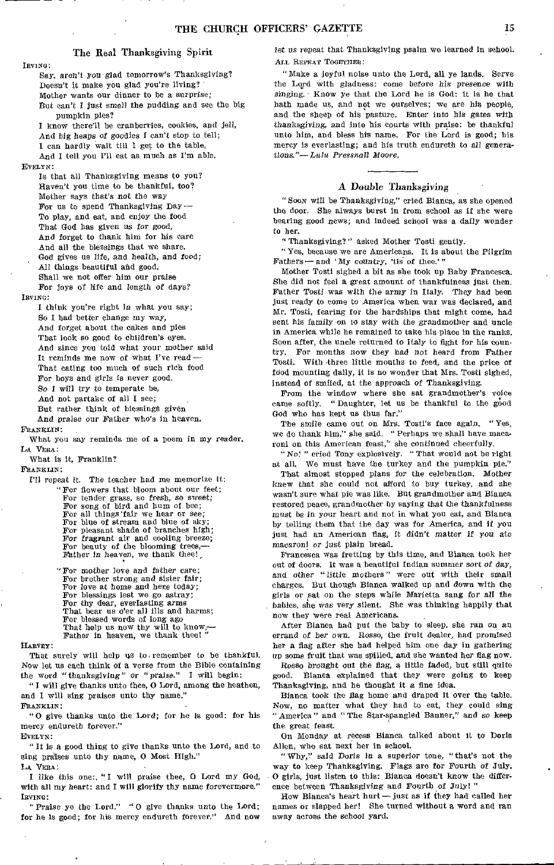#### The Real Thanksgiving Spirit

IRVING:

Say, *aren't you* glad tomorrow's Thanksgiving? Doesn't it make you glad you're living? Mother wants our dinner to be a surprise; But can't I just smell *the* pudding and see the big pumpkin pies?

I know there'll be cranberries, cookies, and jell, And big heaps *of* goodies I can't stop to tell; I can hardly wait till I get to the table, And I tell you I'll eat as much as I'm able.

EVELYN:

Is that all Thanksgiving means to you? Haven't you time to be thankful, too? Mother says that's not the way For us to spend Thanksgiving Day— To play, and eat, and enjoy the food That God has given us for good, And forget to thank him for his care And all the blessings that we share. God gives us life, and health, and food; All things beautiful and good. Shall we not offer him our praise For joys of life and length *of* days?

IBVING:

I think you're right in what you say; So I had better change my way, And forget about the cakes and pies That look so good to children's eyes. And since you told what your mother *said*  It reminds me now of what I've read -

That eating too much of such rich food For boys and girls is never good,

So I will try to temperate be,

And not partake of all I see;

But rather think of blessings given *And praise* our Father who's in heaven.

FRANRLIN

What you say reminds me of a poem in my reader, LA VERA:

What is it, Franklin?

FRANKLIN:

I'll repeat it. The teacher had me memorize it; " For flowers that bloom about our feet; For tender grass, so fresh, so sweet; For song of bird and hum of bee;

For all things fair we hear or see;<br>For blue of stream and blue of sky;

For pleasant shade of branches high;

For fragrant air and cooling breeze; For beauty of the blooming trees,— Father In heaven, we thank thee!,

"For mother love and father care;

For brother strong and sister fair; For love at home and here today; For blessings lest we go astray; For thy dear, everlasting arms That bear us o'er all ills and harms; For blessed words of long ago That help us now thy will to know,— Father in heaven, we thank thee!"

#### HARVEY:

That surely will help us to remember to be thankful. Now let us each think of a verse from the Bible containing the word "thanksgiving" *or "* praise." I will begin:

" I will give thanks unto thee, 0 Lord, among the heathen, and I will sing praises unto thy name."

FRANKLIN:

" 0 give thanks unto the Lord; for he is good: for his mercy endureth forever." EVELYN:

" It Is a good thing to give thanks unto the Lord, and to

sing praises unto thy name, O Most High."

LA VERA:

I like this one:, "I will praise thee, 0 Lord my God, with all my heart: and I will glorify thy name forevermore." IRVING:

"Praise ye the Lord." " 0 give thanks unto the Lord; for he is good; for his mercy endureth forever." And now let *us repeat that Thanksgiving psalm* we learned in school. ALL REPEAT TOGETHER:

" Make a joyful noise unto the Lord, all ye lands. Serve the Lord with gladness: come before his presence with *singing.* Know ye that the Lord he is God: it is he that hath made us, and not we ourselves; we are his people, and the sheep of his pasture. Enter into his gates with *thanksgiving,* and into his courts with praise: be thankful unto him, and bless his name. For the Lord is good; his mercy is everlasting; and his truth endureth to all genera*tions."—Lulu Pressnall Moore.* 

#### A Double Thanksgiving

"SOON will be Thanksgiving," cried Bianca, as she opened the door. She always burst in from school as if she were bearing good news; and indeed school was a daily wonder to her,

"Thanksgiving?" asked Mother Tosti gently.

"Yes, because we are Americans. It is about the Pilgrim Fathers -- and 'My country, 'tis of thee.'"

Mother Tosti sighed a bit as she took up Baby Francesca. She did not feel a great amount of thankfulness just then. Father Tosti was with the army in Italy. They had been just ready to come to America when war was declared, and Mr. Tosti, fearing for the hardships that might come, had sent his family on to stay with the grandmother and uncle in America while he remained to take his place in the ranks. Soon after, the uncle returned to Italy to fight for his country. For months now they had *not* heard from Father Tosti. With three little mouths to feed, and the price of food mounting daily, it is no wonder that Mrs. Tosti sighed, instead of smiled, at the approach of Thanksgiving.

From the window where she sat grandmother's voice came softly. " Daughter, let us be thankful to the good God who has kept us thus far."

The smile came out on Mrs. Tosti's face again, "Yes, we do thank him," she said. "Perhaps we shall have macaroni on this American feast," she continued cheerfully.

*"No! "* cried Tony explosively. "That would not be right *at all. We* must have the turkey and the pumpkin pie."

That almost stopped plans for the celebration. Mother knew that she could not afford to buy turkey, and she wasn't sure what pie was like, But grandmother and Bianca restored peace, grandmother by saying that the thankfulness must be in your heart and not in what you eat, and Bianca by telling them that the day was for America, and if you just had an American flag, it didn't matter *if you* ate macaroni *or just* plain bread.

Francesca was fretting by this time, and Bianca took her out of doors. It was a beautiful Indian summer sort *of* day, and other "little mothers" were out with their small charges. But though Bianca walked up and down with the girls or sat on the steps while Marietta sang for all the babies, she was very silent. She was thinking happily that now they were real Americans.

After Bianca had put the baby to sleep, she ran on an errand of her own. Rosso, the fruit dealer, had promised her a flag after she had helped him one day in gathering up some fruit that was spilled, and she wanted her flag now. Rosso brought out *the* flag, a little faded, but still quite good. Bianca explained that they were going to keep Thanksgiving, and he thought it a fine idea.

Bianca took the flag home and draped it over the table. Now, no matter what they had to eat, they could sing " America " and "The Star-spangled Banner," and so keep the great feast.

On Monday at recess Bianca talked about it to Doris Allen, who sat next her in school.

"Why," said Doris in a superior tone, "that's not the way to keep Thanksgiving. Flags are for Fourth of July, 0 girls, just listen to this: Bianca doesn't know *the* difference between *Thanksgiving and* Fourth of July!"

How Bianca's heart hurt — just as if they had called her names or slapped her! She turned without a word and ran away across the school yard.